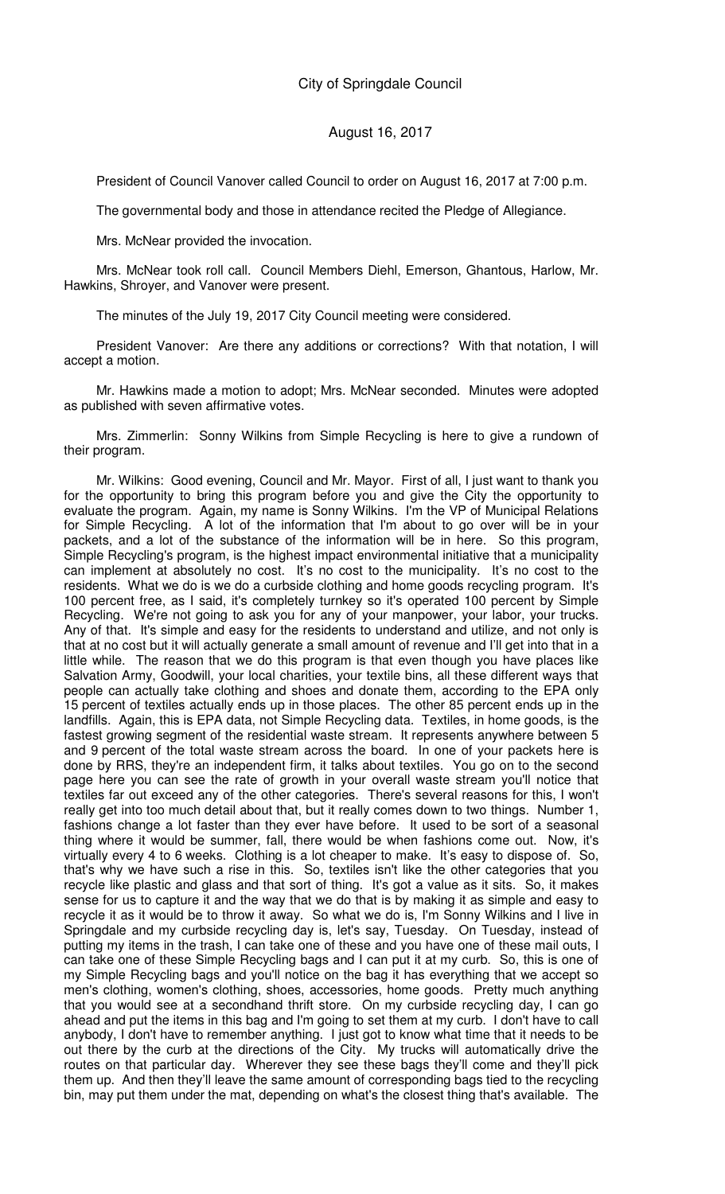President of Council Vanover called Council to order on August 16, 2017 at 7:00 p.m.

The governmental body and those in attendance recited the Pledge of Allegiance.

Mrs. McNear provided the invocation.

Mrs. McNear took roll call. Council Members Diehl, Emerson, Ghantous, Harlow, Mr. Hawkins, Shroyer, and Vanover were present.

The minutes of the July 19, 2017 City Council meeting were considered.

President Vanover: Are there any additions or corrections? With that notation, I will accept a motion.

Mr. Hawkins made a motion to adopt; Mrs. McNear seconded. Minutes were adopted as published with seven affirmative votes.

Mrs. Zimmerlin: Sonny Wilkins from Simple Recycling is here to give a rundown of their program.

Mr. Wilkins: Good evening, Council and Mr. Mayor. First of all, I just want to thank you for the opportunity to bring this program before you and give the City the opportunity to evaluate the program. Again, my name is Sonny Wilkins. I'm the VP of Municipal Relations for Simple Recycling. A lot of the information that I'm about to go over will be in your packets, and a lot of the substance of the information will be in here. So this program, Simple Recycling's program, is the highest impact environmental initiative that a municipality can implement at absolutely no cost. It's no cost to the municipality. It's no cost to the residents. What we do is we do a curbside clothing and home goods recycling program. It's 100 percent free, as I said, it's completely turnkey so it's operated 100 percent by Simple Recycling. We're not going to ask you for any of your manpower, your labor, your trucks. Any of that. It's simple and easy for the residents to understand and utilize, and not only is that at no cost but it will actually generate a small amount of revenue and I'll get into that in a little while. The reason that we do this program is that even though you have places like Salvation Army, Goodwill, your local charities, your textile bins, all these different ways that people can actually take clothing and shoes and donate them, according to the EPA only 15 percent of textiles actually ends up in those places. The other 85 percent ends up in the landfills. Again, this is EPA data, not Simple Recycling data. Textiles, in home goods, is the fastest growing segment of the residential waste stream. It represents anywhere between 5 and 9 percent of the total waste stream across the board. In one of your packets here is done by RRS, they're an independent firm, it talks about textiles. You go on to the second page here you can see the rate of growth in your overall waste stream you'll notice that textiles far out exceed any of the other categories. There's several reasons for this, I won't really get into too much detail about that, but it really comes down to two things. Number 1, fashions change a lot faster than they ever have before. It used to be sort of a seasonal thing where it would be summer, fall, there would be when fashions come out. Now, it's virtually every 4 to 6 weeks. Clothing is a lot cheaper to make. It's easy to dispose of. So, that's why we have such a rise in this. So, textiles isn't like the other categories that you recycle like plastic and glass and that sort of thing. It's got a value as it sits. So, it makes sense for us to capture it and the way that we do that is by making it as simple and easy to recycle it as it would be to throw it away. So what we do is, I'm Sonny Wilkins and I live in Springdale and my curbside recycling day is, let's say, Tuesday. On Tuesday, instead of putting my items in the trash, I can take one of these and you have one of these mail outs, I can take one of these Simple Recycling bags and I can put it at my curb. So, this is one of my Simple Recycling bags and you'll notice on the bag it has everything that we accept so men's clothing, women's clothing, shoes, accessories, home goods. Pretty much anything that you would see at a secondhand thrift store. On my curbside recycling day, I can go ahead and put the items in this bag and I'm going to set them at my curb. I don't have to call anybody, I don't have to remember anything. I just got to know what time that it needs to be out there by the curb at the directions of the City. My trucks will automatically drive the routes on that particular day. Wherever they see these bags they'll come and they'll pick them up. And then they'll leave the same amount of corresponding bags tied to the recycling bin, may put them under the mat, depending on what's the closest thing that's available. The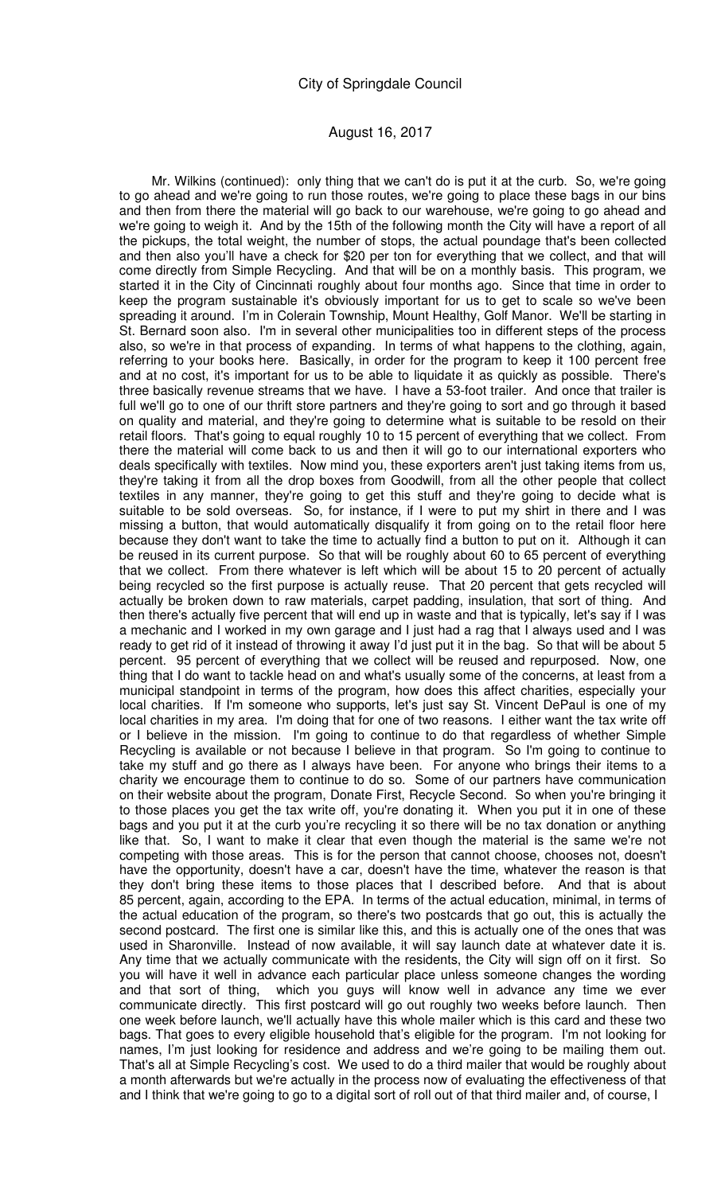Mr. Wilkins (continued): only thing that we can't do is put it at the curb. So, we're going to go ahead and we're going to run those routes, we're going to place these bags in our bins and then from there the material will go back to our warehouse, we're going to go ahead and we're going to weigh it. And by the 15th of the following month the City will have a report of all the pickups, the total weight, the number of stops, the actual poundage that's been collected and then also you'll have a check for \$20 per ton for everything that we collect, and that will come directly from Simple Recycling. And that will be on a monthly basis. This program, we started it in the City of Cincinnati roughly about four months ago. Since that time in order to keep the program sustainable it's obviously important for us to get to scale so we've been spreading it around. I'm in Colerain Township, Mount Healthy, Golf Manor. We'll be starting in St. Bernard soon also. I'm in several other municipalities too in different steps of the process also, so we're in that process of expanding. In terms of what happens to the clothing, again, referring to your books here. Basically, in order for the program to keep it 100 percent free and at no cost, it's important for us to be able to liquidate it as quickly as possible. There's three basically revenue streams that we have. I have a 53-foot trailer. And once that trailer is full we'll go to one of our thrift store partners and they're going to sort and go through it based on quality and material, and they're going to determine what is suitable to be resold on their retail floors. That's going to equal roughly 10 to 15 percent of everything that we collect. From there the material will come back to us and then it will go to our international exporters who deals specifically with textiles. Now mind you, these exporters aren't just taking items from us, they're taking it from all the drop boxes from Goodwill, from all the other people that collect textiles in any manner, they're going to get this stuff and they're going to decide what is suitable to be sold overseas. So, for instance, if I were to put my shirt in there and I was missing a button, that would automatically disqualify it from going on to the retail floor here because they don't want to take the time to actually find a button to put on it. Although it can be reused in its current purpose. So that will be roughly about 60 to 65 percent of everything that we collect. From there whatever is left which will be about 15 to 20 percent of actually being recycled so the first purpose is actually reuse. That 20 percent that gets recycled will actually be broken down to raw materials, carpet padding, insulation, that sort of thing. And then there's actually five percent that will end up in waste and that is typically, let's say if I was a mechanic and I worked in my own garage and I just had a rag that I always used and I was ready to get rid of it instead of throwing it away I'd just put it in the bag. So that will be about 5 percent. 95 percent of everything that we collect will be reused and repurposed. Now, one thing that I do want to tackle head on and what's usually some of the concerns, at least from a municipal standpoint in terms of the program, how does this affect charities, especially your local charities. If I'm someone who supports, let's just say St. Vincent DePaul is one of my local charities in my area. I'm doing that for one of two reasons. I either want the tax write off or I believe in the mission. I'm going to continue to do that regardless of whether Simple Recycling is available or not because I believe in that program. So I'm going to continue to take my stuff and go there as I always have been. For anyone who brings their items to a charity we encourage them to continue to do so. Some of our partners have communication on their website about the program, Donate First, Recycle Second. So when you're bringing it to those places you get the tax write off, you're donating it. When you put it in one of these bags and you put it at the curb you're recycling it so there will be no tax donation or anything like that. So, I want to make it clear that even though the material is the same we're not competing with those areas. This is for the person that cannot choose, chooses not, doesn't have the opportunity, doesn't have a car, doesn't have the time, whatever the reason is that they don't bring these items to those places that I described before. And that is about 85 percent, again, according to the EPA. In terms of the actual education, minimal, in terms of the actual education of the program, so there's two postcards that go out, this is actually the second postcard. The first one is similar like this, and this is actually one of the ones that was used in Sharonville. Instead of now available, it will say launch date at whatever date it is. Any time that we actually communicate with the residents, the City will sign off on it first. So you will have it well in advance each particular place unless someone changes the wording and that sort of thing, which you guys will know well in advance any time we ever which you guys will know well in advance any time we ever communicate directly. This first postcard will go out roughly two weeks before launch. Then one week before launch, we'll actually have this whole mailer which is this card and these two bags. That goes to every eligible household that's eligible for the program. I'm not looking for names, I'm just looking for residence and address and we're going to be mailing them out. That's all at Simple Recycling's cost. We used to do a third mailer that would be roughly about a month afterwards but we're actually in the process now of evaluating the effectiveness of that and I think that we're going to go to a digital sort of roll out of that third mailer and, of course, I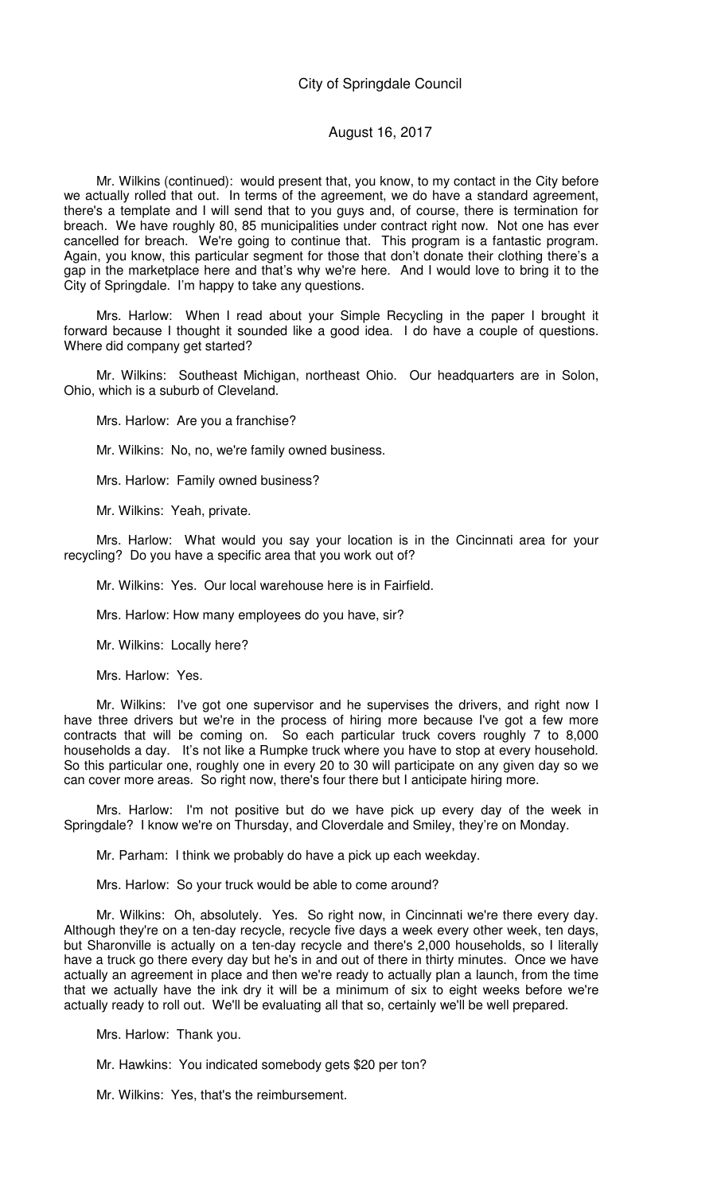### August 16, 2017

Mr. Wilkins (continued): would present that, you know, to my contact in the City before we actually rolled that out. In terms of the agreement, we do have a standard agreement, there's a template and I will send that to you guys and, of course, there is termination for breach. We have roughly 80, 85 municipalities under contract right now. Not one has ever cancelled for breach. We're going to continue that. This program is a fantastic program. Again, you know, this particular segment for those that don't donate their clothing there's a gap in the marketplace here and that's why we're here. And I would love to bring it to the City of Springdale. I'm happy to take any questions.

Mrs. Harlow: When I read about your Simple Recycling in the paper I brought it forward because I thought it sounded like a good idea. I do have a couple of questions. Where did company get started?

Mr. Wilkins: Southeast Michigan, northeast Ohio. Our headquarters are in Solon, Ohio, which is a suburb of Cleveland.

Mrs. Harlow: Are you a franchise?

Mr. Wilkins: No, no, we're family owned business.

Mrs. Harlow: Family owned business?

Mr. Wilkins: Yeah, private.

Mrs. Harlow: What would you say your location is in the Cincinnati area for your recycling? Do you have a specific area that you work out of?

Mr. Wilkins: Yes. Our local warehouse here is in Fairfield.

Mrs. Harlow: How many employees do you have, sir?

Mr. Wilkins: Locally here?

Mrs. Harlow: Yes.

Mr. Wilkins: I've got one supervisor and he supervises the drivers, and right now I have three drivers but we're in the process of hiring more because I've got a few more contracts that will be coming on. So each particular truck covers roughly 7 to 8,000 households a day. It's not like a Rumpke truck where you have to stop at every household. So this particular one, roughly one in every 20 to 30 will participate on any given day so we can cover more areas. So right now, there's four there but I anticipate hiring more.

Mrs. Harlow: I'm not positive but do we have pick up every day of the week in Springdale? I know we're on Thursday, and Cloverdale and Smiley, they're on Monday.

Mr. Parham: I think we probably do have a pick up each weekday.

Mrs. Harlow: So your truck would be able to come around?

Mr. Wilkins: Oh, absolutely. Yes. So right now, in Cincinnati we're there every day. Although they're on a ten-day recycle, recycle five days a week every other week, ten days, but Sharonville is actually on a ten-day recycle and there's 2,000 households, so I literally have a truck go there every day but he's in and out of there in thirty minutes. Once we have actually an agreement in place and then we're ready to actually plan a launch, from the time that we actually have the ink dry it will be a minimum of six to eight weeks before we're actually ready to roll out. We'll be evaluating all that so, certainly we'll be well prepared.

Mrs. Harlow: Thank you.

Mr. Hawkins: You indicated somebody gets \$20 per ton?

Mr. Wilkins: Yes, that's the reimbursement.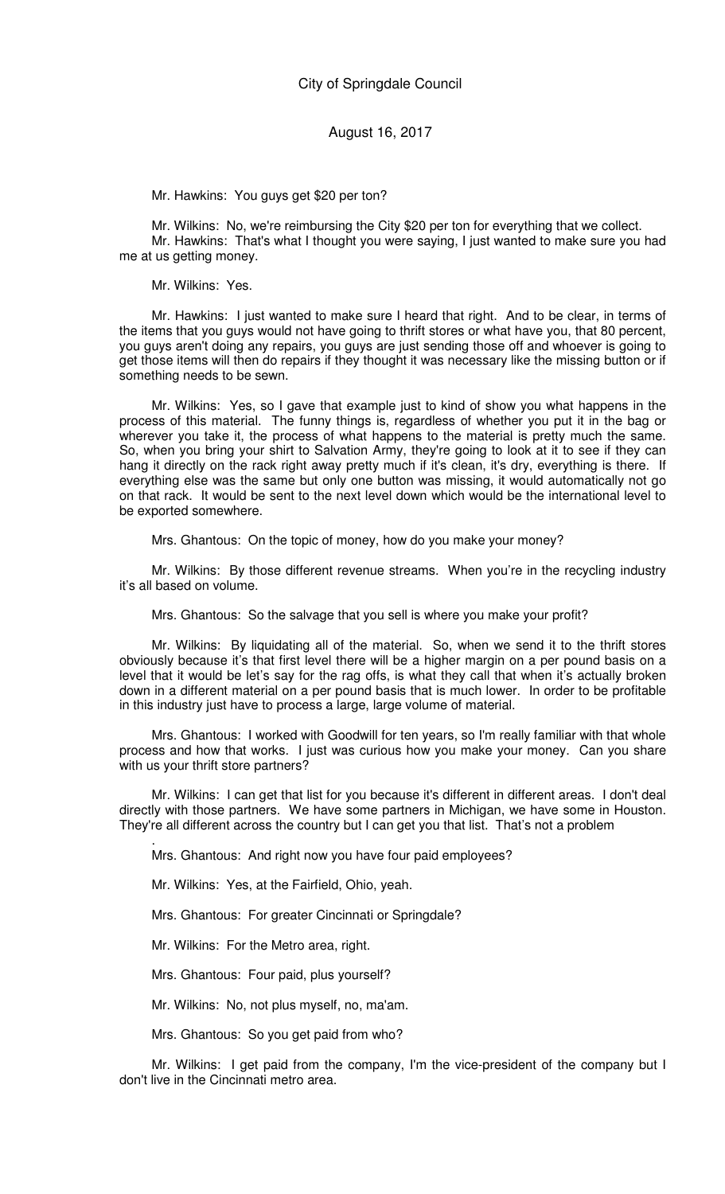Mr. Hawkins: You guys get \$20 per ton?

Mr. Wilkins: No, we're reimbursing the City \$20 per ton for everything that we collect. Mr. Hawkins: That's what I thought you were saying, I just wanted to make sure you had me at us getting money.

Mr. Wilkins: Yes.

Mr. Hawkins: I just wanted to make sure I heard that right. And to be clear, in terms of the items that you guys would not have going to thrift stores or what have you, that 80 percent, you guys aren't doing any repairs, you guys are just sending those off and whoever is going to get those items will then do repairs if they thought it was necessary like the missing button or if something needs to be sewn.

Mr. Wilkins: Yes, so I gave that example just to kind of show you what happens in the process of this material. The funny things is, regardless of whether you put it in the bag or wherever you take it, the process of what happens to the material is pretty much the same. So, when you bring your shirt to Salvation Army, they're going to look at it to see if they can hang it directly on the rack right away pretty much if it's clean, it's dry, everything is there. If everything else was the same but only one button was missing, it would automatically not go on that rack. It would be sent to the next level down which would be the international level to be exported somewhere.

Mrs. Ghantous: On the topic of money, how do you make your money?

Mr. Wilkins: By those different revenue streams. When you're in the recycling industry it's all based on volume.

Mrs. Ghantous: So the salvage that you sell is where you make your profit?

Mr. Wilkins: By liquidating all of the material. So, when we send it to the thrift stores obviously because it's that first level there will be a higher margin on a per pound basis on a level that it would be let's say for the rag offs, is what they call that when it's actually broken down in a different material on a per pound basis that is much lower. In order to be profitable in this industry just have to process a large, large volume of material.

Mrs. Ghantous: I worked with Goodwill for ten years, so I'm really familiar with that whole process and how that works. I just was curious how you make your money. Can you share with us your thrift store partners?

Mr. Wilkins: I can get that list for you because it's different in different areas. I don't deal directly with those partners. We have some partners in Michigan, we have some in Houston. They're all different across the country but I can get you that list. That's not a problem

Mrs. Ghantous: And right now you have four paid employees?

Mr. Wilkins: Yes, at the Fairfield, Ohio, yeah.

Mrs. Ghantous: For greater Cincinnati or Springdale?

Mr. Wilkins: For the Metro area, right.

.

Mrs. Ghantous: Four paid, plus yourself?

Mr. Wilkins: No, not plus myself, no, ma'am.

Mrs. Ghantous: So you get paid from who?

Mr. Wilkins: I get paid from the company, I'm the vice-president of the company but I don't live in the Cincinnati metro area.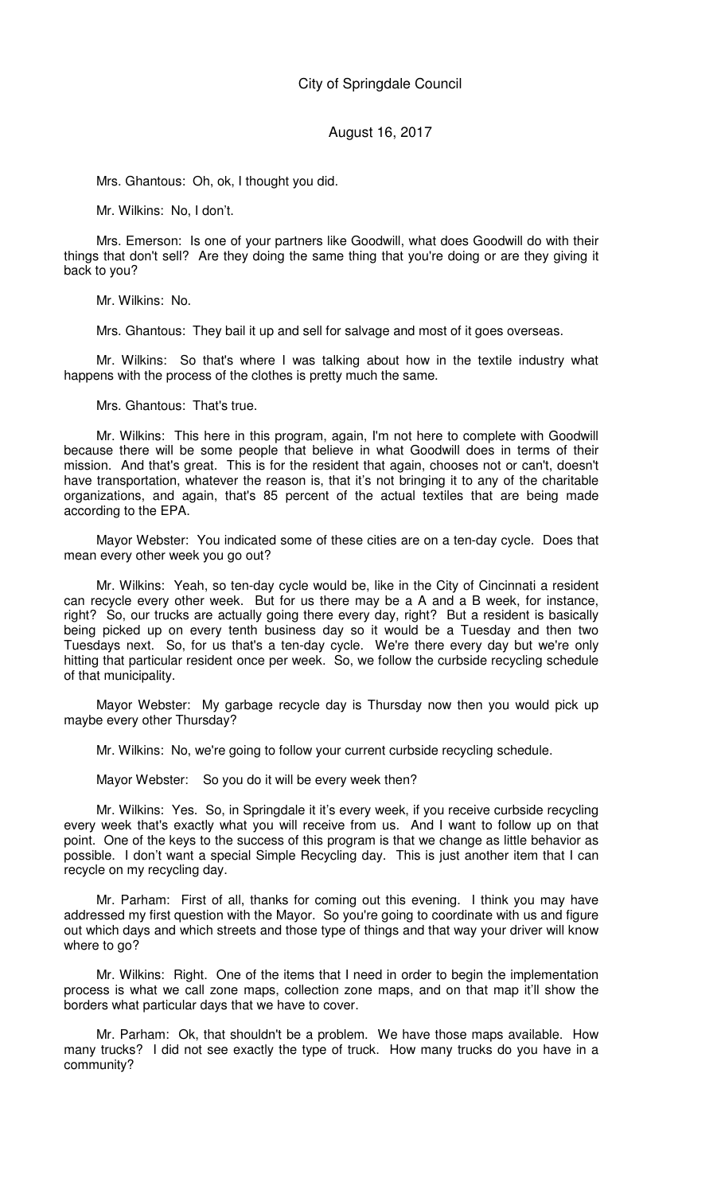Mrs. Ghantous: Oh, ok, I thought you did.

Mr. Wilkins: No, I don't.

Mrs. Emerson: Is one of your partners like Goodwill, what does Goodwill do with their things that don't sell? Are they doing the same thing that you're doing or are they giving it back to you?

Mr. Wilkins: No.

Mrs. Ghantous: They bail it up and sell for salvage and most of it goes overseas.

Mr. Wilkins: So that's where I was talking about how in the textile industry what happens with the process of the clothes is pretty much the same.

Mrs. Ghantous: That's true.

Mr. Wilkins: This here in this program, again, I'm not here to complete with Goodwill because there will be some people that believe in what Goodwill does in terms of their mission. And that's great. This is for the resident that again, chooses not or can't, doesn't have transportation, whatever the reason is, that it's not bringing it to any of the charitable organizations, and again, that's 85 percent of the actual textiles that are being made according to the EPA.

Mayor Webster: You indicated some of these cities are on a ten-day cycle. Does that mean every other week you go out?

Mr. Wilkins: Yeah, so ten-day cycle would be, like in the City of Cincinnati a resident can recycle every other week. But for us there may be a A and a B week, for instance, right? So, our trucks are actually going there every day, right? But a resident is basically being picked up on every tenth business day so it would be a Tuesday and then two Tuesdays next. So, for us that's a ten-day cycle. We're there every day but we're only hitting that particular resident once per week. So, we follow the curbside recycling schedule of that municipality.

Mayor Webster: My garbage recycle day is Thursday now then you would pick up maybe every other Thursday?

Mr. Wilkins: No, we're going to follow your current curbside recycling schedule.

Mayor Webster: So you do it will be every week then?

Mr. Wilkins: Yes. So, in Springdale it it's every week, if you receive curbside recycling every week that's exactly what you will receive from us. And I want to follow up on that point. One of the keys to the success of this program is that we change as little behavior as possible. I don't want a special Simple Recycling day. This is just another item that I can recycle on my recycling day.

Mr. Parham: First of all, thanks for coming out this evening. I think you may have addressed my first question with the Mayor. So you're going to coordinate with us and figure out which days and which streets and those type of things and that way your driver will know where to go?

Mr. Wilkins: Right. One of the items that I need in order to begin the implementation process is what we call zone maps, collection zone maps, and on that map it'll show the borders what particular days that we have to cover.

Mr. Parham: Ok, that shouldn't be a problem. We have those maps available. How many trucks? I did not see exactly the type of truck. How many trucks do you have in a community?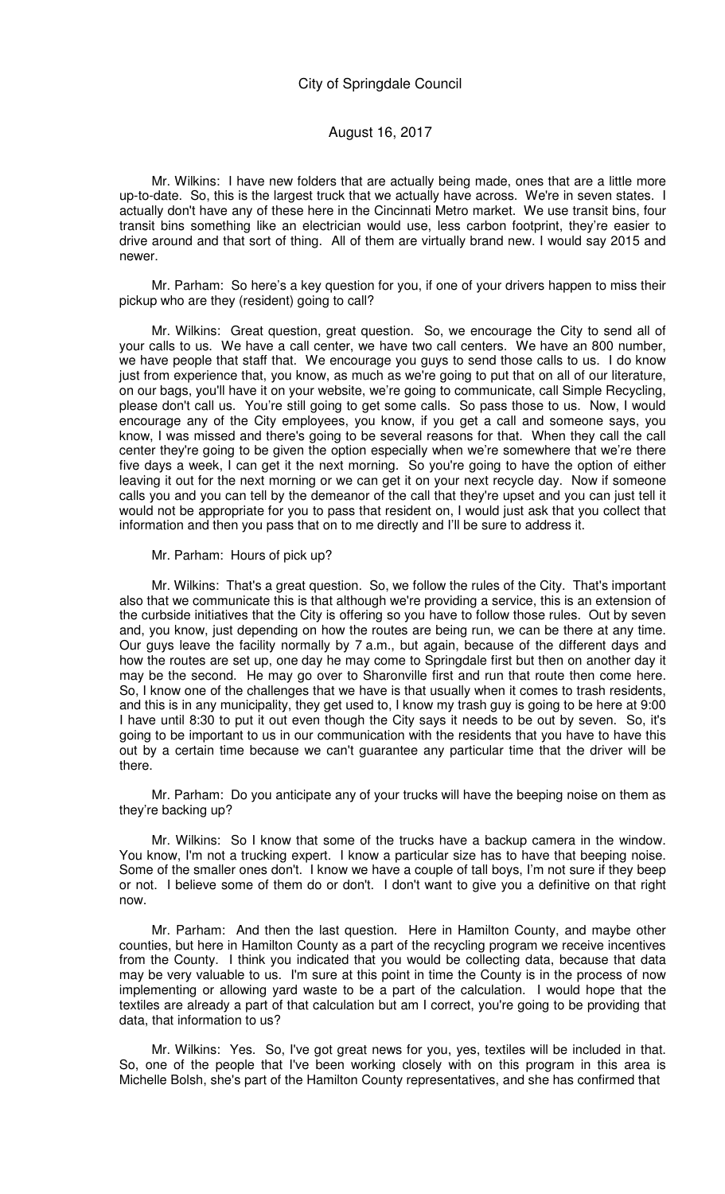Mr. Wilkins: I have new folders that are actually being made, ones that are a little more up-to-date. So, this is the largest truck that we actually have across. We're in seven states. I actually don't have any of these here in the Cincinnati Metro market. We use transit bins, four transit bins something like an electrician would use, less carbon footprint, they're easier to drive around and that sort of thing. All of them are virtually brand new. I would say 2015 and newer.

Mr. Parham: So here's a key question for you, if one of your drivers happen to miss their pickup who are they (resident) going to call?

Mr. Wilkins: Great question, great question. So, we encourage the City to send all of your calls to us. We have a call center, we have two call centers. We have an 800 number, we have people that staff that. We encourage you guys to send those calls to us. I do know just from experience that, you know, as much as we're going to put that on all of our literature, on our bags, you'll have it on your website, we're going to communicate, call Simple Recycling, please don't call us. You're still going to get some calls. So pass those to us. Now, I would encourage any of the City employees, you know, if you get a call and someone says, you know, I was missed and there's going to be several reasons for that. When they call the call center they're going to be given the option especially when we're somewhere that we're there five days a week, I can get it the next morning. So you're going to have the option of either leaving it out for the next morning or we can get it on your next recycle day. Now if someone calls you and you can tell by the demeanor of the call that they're upset and you can just tell it would not be appropriate for you to pass that resident on, I would just ask that you collect that information and then you pass that on to me directly and I'll be sure to address it.

Mr. Parham: Hours of pick up?

Mr. Wilkins: That's a great question. So, we follow the rules of the City. That's important also that we communicate this is that although we're providing a service, this is an extension of the curbside initiatives that the City is offering so you have to follow those rules. Out by seven and, you know, just depending on how the routes are being run, we can be there at any time. Our guys leave the facility normally by 7 a.m., but again, because of the different days and how the routes are set up, one day he may come to Springdale first but then on another day it may be the second. He may go over to Sharonville first and run that route then come here. So, I know one of the challenges that we have is that usually when it comes to trash residents, and this is in any municipality, they get used to, I know my trash guy is going to be here at 9:00 I have until 8:30 to put it out even though the City says it needs to be out by seven. So, it's going to be important to us in our communication with the residents that you have to have this out by a certain time because we can't guarantee any particular time that the driver will be there.

Mr. Parham: Do you anticipate any of your trucks will have the beeping noise on them as they're backing up?

Mr. Wilkins: So I know that some of the trucks have a backup camera in the window. You know, I'm not a trucking expert. I know a particular size has to have that beeping noise. Some of the smaller ones don't. I know we have a couple of tall boys, I'm not sure if they beep or not. I believe some of them do or don't. I don't want to give you a definitive on that right now.

Mr. Parham: And then the last question. Here in Hamilton County, and maybe other counties, but here in Hamilton County as a part of the recycling program we receive incentives from the County. I think you indicated that you would be collecting data, because that data may be very valuable to us. I'm sure at this point in time the County is in the process of now implementing or allowing yard waste to be a part of the calculation. I would hope that the textiles are already a part of that calculation but am I correct, you're going to be providing that data, that information to us?

Mr. Wilkins: Yes. So, I've got great news for you, yes, textiles will be included in that. So, one of the people that I've been working closely with on this program in this area is Michelle Bolsh, she's part of the Hamilton County representatives, and she has confirmed that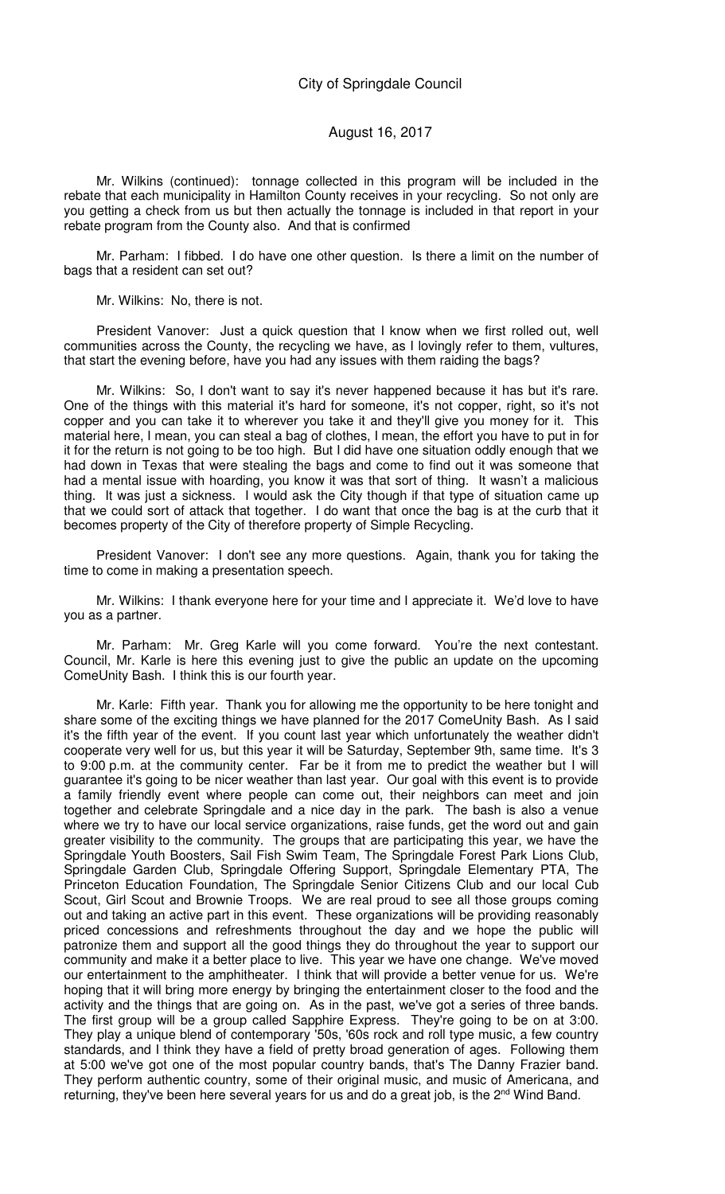#### August 16, 2017

Mr. Wilkins (continued): tonnage collected in this program will be included in the rebate that each municipality in Hamilton County receives in your recycling. So not only are you getting a check from us but then actually the tonnage is included in that report in your rebate program from the County also. And that is confirmed

Mr. Parham: I fibbed. I do have one other question. Is there a limit on the number of bags that a resident can set out?

Mr. Wilkins: No, there is not.

President Vanover: Just a quick question that I know when we first rolled out, well communities across the County, the recycling we have, as I lovingly refer to them, vultures, that start the evening before, have you had any issues with them raiding the bags?

Mr. Wilkins: So, I don't want to say it's never happened because it has but it's rare. One of the things with this material it's hard for someone, it's not copper, right, so it's not copper and you can take it to wherever you take it and they'll give you money for it. This material here, I mean, you can steal a bag of clothes, I mean, the effort you have to put in for it for the return is not going to be too high. But I did have one situation oddly enough that we had down in Texas that were stealing the bags and come to find out it was someone that had a mental issue with hoarding, you know it was that sort of thing. It wasn't a malicious thing. It was just a sickness. I would ask the City though if that type of situation came up that we could sort of attack that together. I do want that once the bag is at the curb that it becomes property of the City of therefore property of Simple Recycling.

President Vanover: I don't see any more questions. Again, thank you for taking the time to come in making a presentation speech.

Mr. Wilkins: I thank everyone here for your time and I appreciate it. We'd love to have you as a partner.

Mr. Parham: Mr. Greg Karle will you come forward. You're the next contestant. Council, Mr. Karle is here this evening just to give the public an update on the upcoming ComeUnity Bash. I think this is our fourth year.

Mr. Karle: Fifth year. Thank you for allowing me the opportunity to be here tonight and share some of the exciting things we have planned for the 2017 ComeUnity Bash. As I said it's the fifth year of the event. If you count last year which unfortunately the weather didn't cooperate very well for us, but this year it will be Saturday, September 9th, same time. It's 3 to 9:00 p.m. at the community center. Far be it from me to predict the weather but I will guarantee it's going to be nicer weather than last year. Our goal with this event is to provide a family friendly event where people can come out, their neighbors can meet and join together and celebrate Springdale and a nice day in the park. The bash is also a venue where we try to have our local service organizations, raise funds, get the word out and gain greater visibility to the community. The groups that are participating this year, we have the Springdale Youth Boosters, Sail Fish Swim Team, The Springdale Forest Park Lions Club, Springdale Garden Club, Springdale Offering Support, Springdale Elementary PTA, The Princeton Education Foundation, The Springdale Senior Citizens Club and our local Cub Scout, Girl Scout and Brownie Troops. We are real proud to see all those groups coming out and taking an active part in this event. These organizations will be providing reasonably priced concessions and refreshments throughout the day and we hope the public will patronize them and support all the good things they do throughout the year to support our community and make it a better place to live. This year we have one change. We've moved our entertainment to the amphitheater. I think that will provide a better venue for us. We're hoping that it will bring more energy by bringing the entertainment closer to the food and the activity and the things that are going on. As in the past, we've got a series of three bands. The first group will be a group called Sapphire Express. They're going to be on at 3:00. They play a unique blend of contemporary '50s, '60s rock and roll type music, a few country standards, and I think they have a field of pretty broad generation of ages. Following them at 5:00 we've got one of the most popular country bands, that's The Danny Frazier band. They perform authentic country, some of their original music, and music of Americana, and returning, they've been here several years for us and do a great job, is the 2<sup>nd</sup> Wind Band.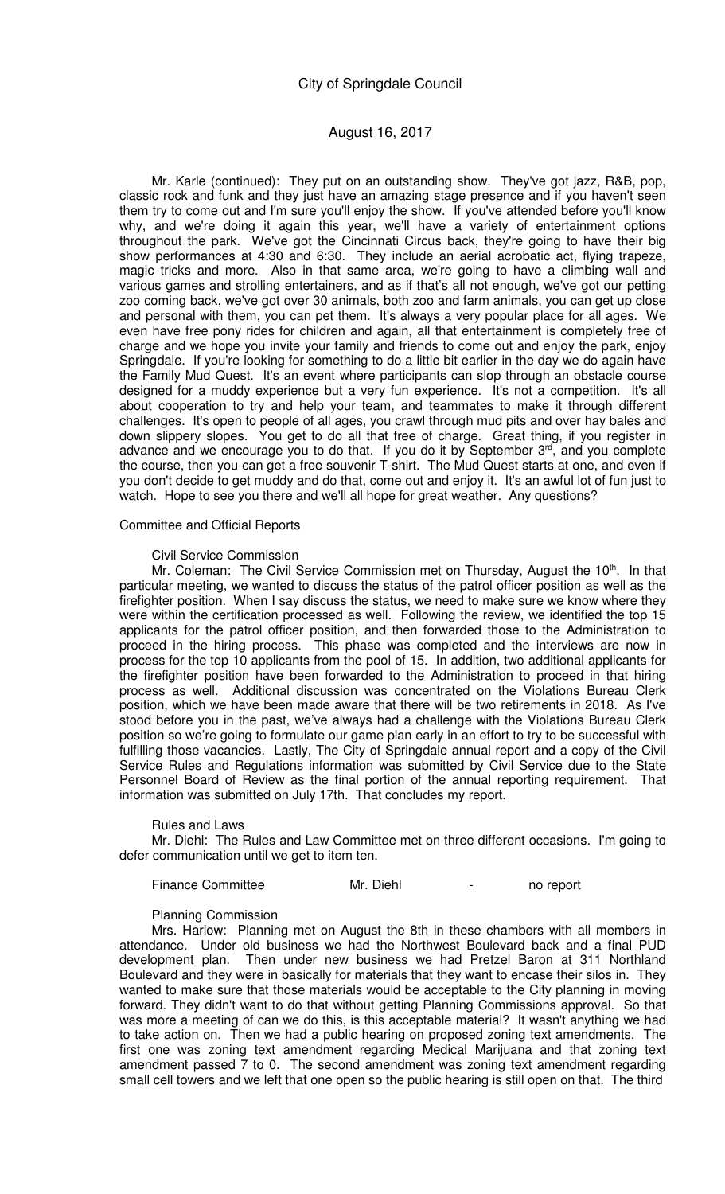# August 16, 2017

Mr. Karle (continued): They put on an outstanding show. They've got jazz, R&B, pop, classic rock and funk and they just have an amazing stage presence and if you haven't seen them try to come out and I'm sure you'll enjoy the show. If you've attended before you'll know why, and we're doing it again this year, we'll have a variety of entertainment options throughout the park. We've got the Cincinnati Circus back, they're going to have their big show performances at 4:30 and 6:30. They include an aerial acrobatic act, flying trapeze, magic tricks and more. Also in that same area, we're going to have a climbing wall and various games and strolling entertainers, and as if that's all not enough, we've got our petting zoo coming back, we've got over 30 animals, both zoo and farm animals, you can get up close and personal with them, you can pet them. It's always a very popular place for all ages. We even have free pony rides for children and again, all that entertainment is completely free of charge and we hope you invite your family and friends to come out and enjoy the park, enjoy Springdale. If you're looking for something to do a little bit earlier in the day we do again have the Family Mud Quest. It's an event where participants can slop through an obstacle course designed for a muddy experience but a very fun experience. It's not a competition. It's all about cooperation to try and help your team, and teammates to make it through different challenges. It's open to people of all ages, you crawl through mud pits and over hay bales and down slippery slopes. You get to do all that free of charge. Great thing, if you register in advance and we encourage you to do that. If you do it by September 3rd, and you complete the course, then you can get a free souvenir T-shirt. The Mud Quest starts at one, and even if you don't decide to get muddy and do that, come out and enjoy it. It's an awful lot of fun just to watch. Hope to see you there and we'll all hope for great weather. Any questions?

#### Committee and Official Reports

#### Civil Service Commission

Mr. Coleman: The Civil Service Commission met on Thursday, August the 10<sup>th</sup>. In that particular meeting, we wanted to discuss the status of the patrol officer position as well as the firefighter position. When I say discuss the status, we need to make sure we know where they were within the certification processed as well. Following the review, we identified the top 15 applicants for the patrol officer position, and then forwarded those to the Administration to proceed in the hiring process. This phase was completed and the interviews are now in process for the top 10 applicants from the pool of 15. In addition, two additional applicants for the firefighter position have been forwarded to the Administration to proceed in that hiring process as well. Additional discussion was concentrated on the Violations Bureau Clerk position, which we have been made aware that there will be two retirements in 2018. As I've stood before you in the past, we've always had a challenge with the Violations Bureau Clerk position so we're going to formulate our game plan early in an effort to try to be successful with fulfilling those vacancies. Lastly, The City of Springdale annual report and a copy of the Civil Service Rules and Regulations information was submitted by Civil Service due to the State Personnel Board of Review as the final portion of the annual reporting requirement. That information was submitted on July 17th. That concludes my report.

#### Rules and Laws

Mr. Diehl: The Rules and Law Committee met on three different occasions. I'm going to defer communication until we get to item ten.

| <b>Finance Committee</b> | Mr. Diehl | no report |
|--------------------------|-----------|-----------|
|                          |           |           |

#### Planning Commission

Mrs. Harlow: Planning met on August the 8th in these chambers with all members in attendance. Under old business we had the Northwest Boulevard back and a final PUD development plan. Then under new business we had Pretzel Baron at 311 Northland Boulevard and they were in basically for materials that they want to encase their silos in. They wanted to make sure that those materials would be acceptable to the City planning in moving forward. They didn't want to do that without getting Planning Commissions approval. So that was more a meeting of can we do this, is this acceptable material? It wasn't anything we had to take action on. Then we had a public hearing on proposed zoning text amendments. The first one was zoning text amendment regarding Medical Marijuana and that zoning text amendment passed 7 to 0. The second amendment was zoning text amendment regarding small cell towers and we left that one open so the public hearing is still open on that. The third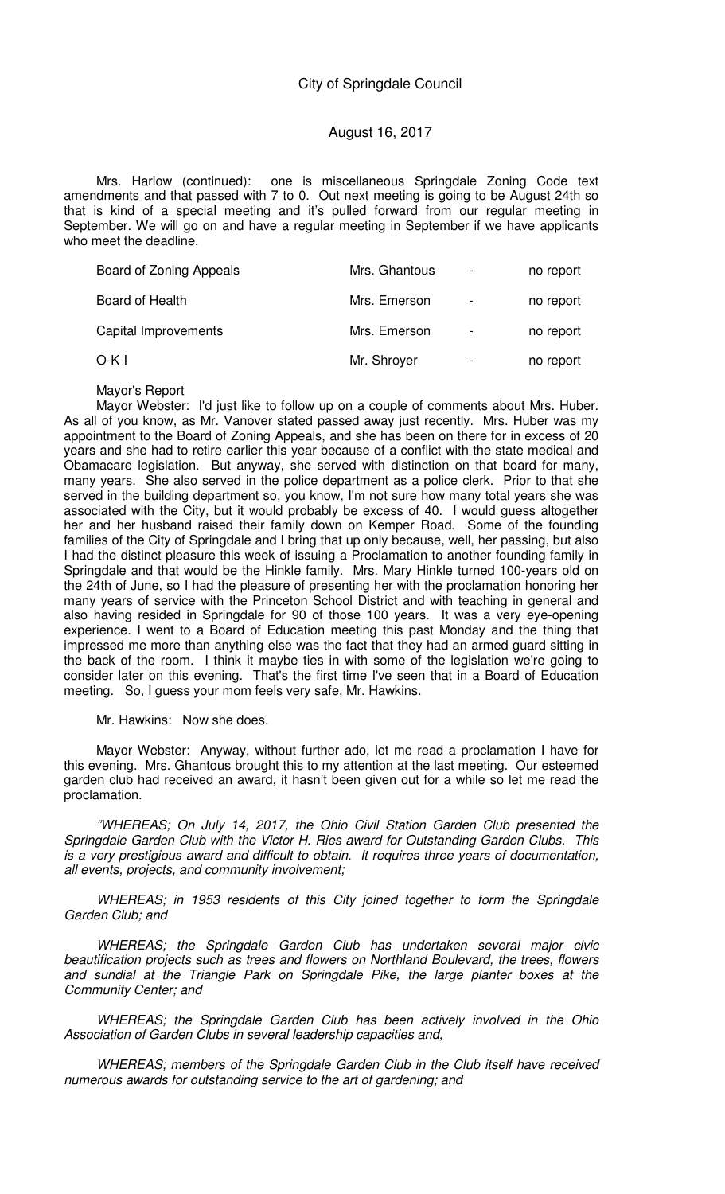Mrs. Harlow (continued): one is miscellaneous Springdale Zoning Code text amendments and that passed with 7 to 0. Out next meeting is going to be August 24th so that is kind of a special meeting and it's pulled forward from our regular meeting in September. We will go on and have a regular meeting in September if we have applicants who meet the deadline.

| Board of Zoning Appeals | Mrs. Ghantous | $\overline{\phantom{a}}$ | no report |
|-------------------------|---------------|--------------------------|-----------|
| <b>Board of Health</b>  | Mrs. Emerson  |                          | no report |
| Capital Improvements    | Mrs. Emerson  | $\blacksquare$           | no report |
| $O-K-I$                 | Mr. Shroyer   |                          | no report |

Mayor's Report

Mayor Webster: I'd just like to follow up on a couple of comments about Mrs. Huber. As all of you know, as Mr. Vanover stated passed away just recently. Mrs. Huber was my appointment to the Board of Zoning Appeals, and she has been on there for in excess of 20 years and she had to retire earlier this year because of a conflict with the state medical and Obamacare legislation. But anyway, she served with distinction on that board for many, many years. She also served in the police department as a police clerk. Prior to that she served in the building department so, you know, I'm not sure how many total years she was associated with the City, but it would probably be excess of 40. I would guess altogether her and her husband raised their family down on Kemper Road. Some of the founding families of the City of Springdale and I bring that up only because, well, her passing, but also I had the distinct pleasure this week of issuing a Proclamation to another founding family in Springdale and that would be the Hinkle family. Mrs. Mary Hinkle turned 100-years old on the 24th of June, so I had the pleasure of presenting her with the proclamation honoring her many years of service with the Princeton School District and with teaching in general and also having resided in Springdale for 90 of those 100 years. It was a very eye-opening experience. I went to a Board of Education meeting this past Monday and the thing that impressed me more than anything else was the fact that they had an armed guard sitting in the back of the room. I think it maybe ties in with some of the legislation we're going to consider later on this evening. That's the first time I've seen that in a Board of Education meeting. So, I guess your mom feels very safe, Mr. Hawkins.

Mr. Hawkins: Now she does.

Mayor Webster: Anyway, without further ado, let me read a proclamation I have for this evening. Mrs. Ghantous brought this to my attention at the last meeting. Our esteemed garden club had received an award, it hasn't been given out for a while so let me read the proclamation.

"WHEREAS; On July 14, 2017, the Ohio Civil Station Garden Club presented the Springdale Garden Club with the Victor H. Ries award for Outstanding Garden Clubs. This is a very prestigious award and difficult to obtain. It requires three years of documentation, all events, projects, and community involvement;

WHEREAS; in 1953 residents of this City joined together to form the Springdale Garden Club; and

WHEREAS; the Springdale Garden Club has undertaken several major civic beautification projects such as trees and flowers on Northland Boulevard, the trees, flowers and sundial at the Triangle Park on Springdale Pike, the large planter boxes at the Community Center; and

WHEREAS; the Springdale Garden Club has been actively involved in the Ohio Association of Garden Clubs in several leadership capacities and,

WHEREAS; members of the Springdale Garden Club in the Club itself have received numerous awards for outstanding service to the art of gardening; and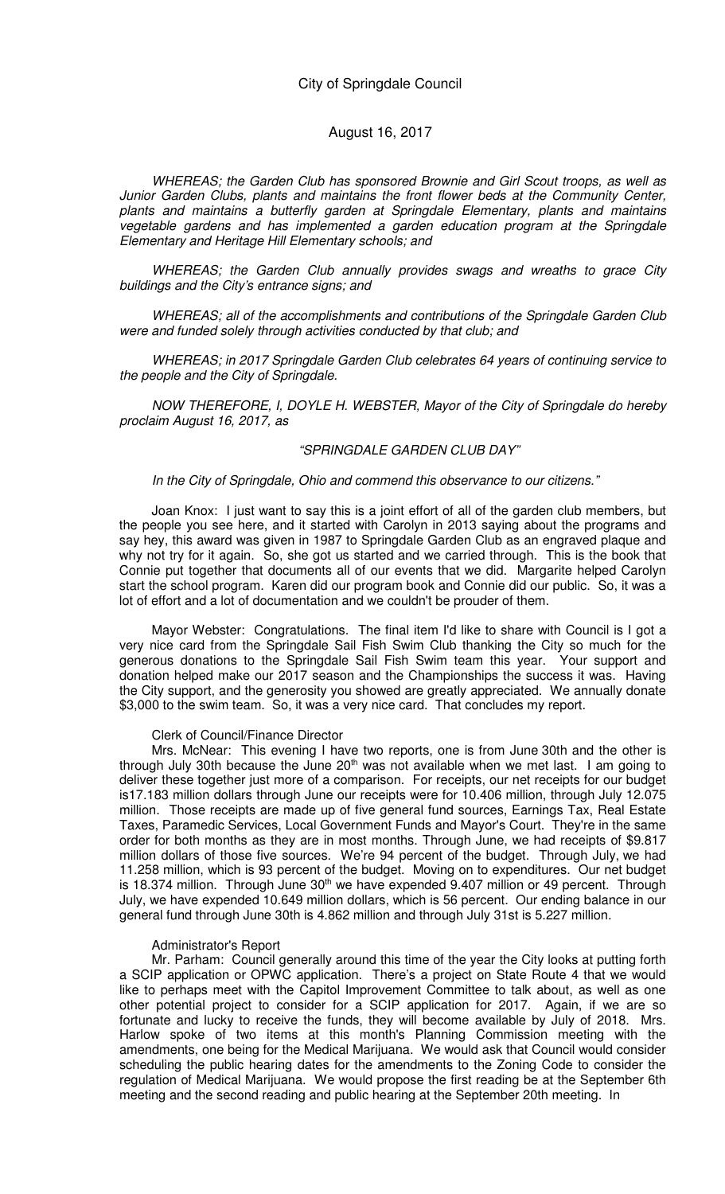WHEREAS; the Garden Club has sponsored Brownie and Girl Scout troops, as well as Junior Garden Clubs, plants and maintains the front flower beds at the Community Center, plants and maintains a butterfly garden at Springdale Elementary, plants and maintains vegetable gardens and has implemented a garden education program at the Springdale Elementary and Heritage Hill Elementary schools; and

WHEREAS; the Garden Club annually provides swags and wreaths to grace City buildings and the City's entrance signs; and

WHEREAS; all of the accomplishments and contributions of the Springdale Garden Club were and funded solely through activities conducted by that club; and

WHEREAS; in 2017 Springdale Garden Club celebrates 64 years of continuing service to the people and the City of Springdale.

NOW THEREFORE, I, DOYLE H. WEBSTER, Mayor of the City of Springdale do hereby proclaim August 16, 2017, as

#### "SPRINGDALE GARDEN CLUB DAY"

In the City of Springdale, Ohio and commend this observance to our citizens."

Joan Knox: I just want to say this is a joint effort of all of the garden club members, but the people you see here, and it started with Carolyn in 2013 saying about the programs and say hey, this award was given in 1987 to Springdale Garden Club as an engraved plaque and why not try for it again. So, she got us started and we carried through. This is the book that Connie put together that documents all of our events that we did. Margarite helped Carolyn start the school program. Karen did our program book and Connie did our public. So, it was a lot of effort and a lot of documentation and we couldn't be prouder of them.

Mayor Webster: Congratulations. The final item I'd like to share with Council is I got a very nice card from the Springdale Sail Fish Swim Club thanking the City so much for the generous donations to the Springdale Sail Fish Swim team this year. Your support and donation helped make our 2017 season and the Championships the success it was. Having the City support, and the generosity you showed are greatly appreciated. We annually donate \$3,000 to the swim team. So, it was a very nice card. That concludes my report.

#### Clerk of Council/Finance Director

Mrs. McNear: This evening I have two reports, one is from June 30th and the other is through July 30th because the June 20<sup>th</sup> was not available when we met last. I am going to deliver these together just more of a comparison. For receipts, our net receipts for our budget is17.183 million dollars through June our receipts were for 10.406 million, through July 12.075 million. Those receipts are made up of five general fund sources, Earnings Tax, Real Estate Taxes, Paramedic Services, Local Government Funds and Mayor's Court. They're in the same order for both months as they are in most months. Through June, we had receipts of \$9.817 million dollars of those five sources. We're 94 percent of the budget. Through July, we had 11.258 million, which is 93 percent of the budget. Moving on to expenditures. Our net budget is 18.374 million. Through June 30<sup>th</sup> we have expended 9.407 million or 49 percent. Through July, we have expended 10.649 million dollars, which is 56 percent. Our ending balance in our general fund through June 30th is 4.862 million and through July 31st is 5.227 million.

#### Administrator's Report

Mr. Parham: Council generally around this time of the year the City looks at putting forth a SCIP application or OPWC application. There's a project on State Route 4 that we would like to perhaps meet with the Capitol Improvement Committee to talk about, as well as one other potential project to consider for a SCIP application for 2017. Again, if we are so fortunate and lucky to receive the funds, they will become available by July of 2018. Mrs. Harlow spoke of two items at this month's Planning Commission meeting with the amendments, one being for the Medical Marijuana. We would ask that Council would consider scheduling the public hearing dates for the amendments to the Zoning Code to consider the regulation of Medical Marijuana. We would propose the first reading be at the September 6th meeting and the second reading and public hearing at the September 20th meeting. In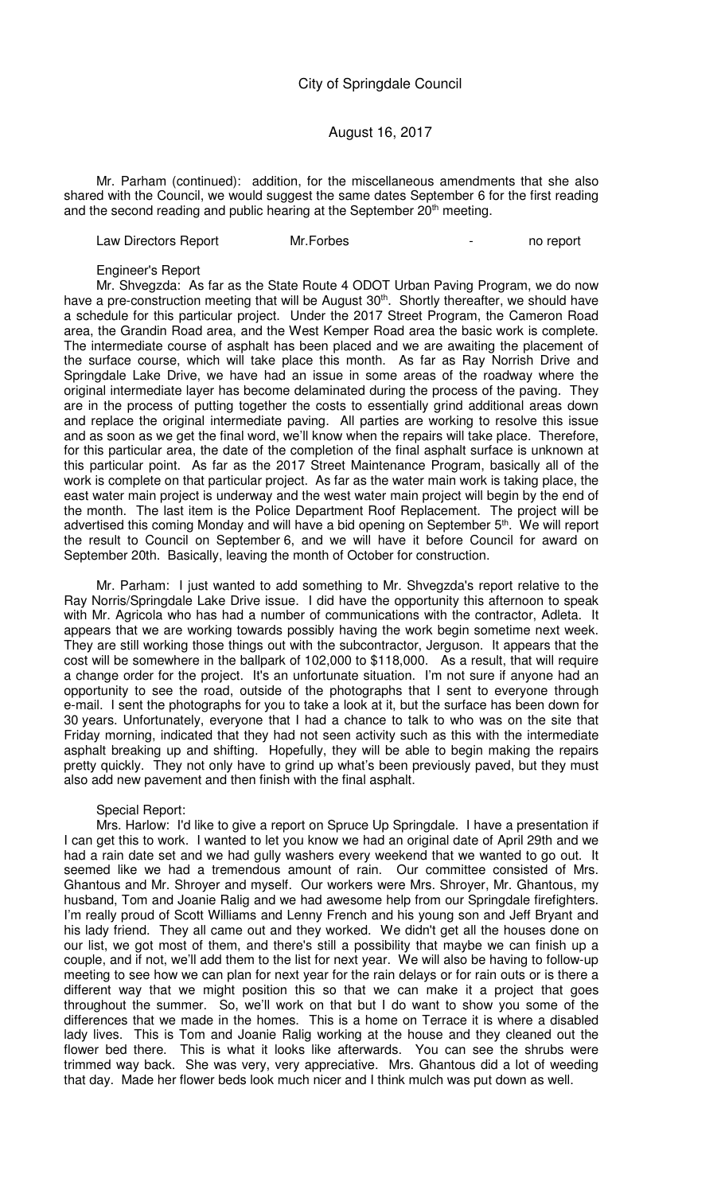#### August 16, 2017

Mr. Parham (continued): addition, for the miscellaneous amendments that she also shared with the Council, we would suggest the same dates September 6 for the first reading and the second reading and public hearing at the September 20<sup>th</sup> meeting.

Law Directors Report Mr.Forbes - 1999 - 1999 - 1999 - 1999 - 1999 - 1999 - 1999 - 1999 - 1999 - 199

Engineer's Report

Mr. Shvegzda: As far as the State Route 4 ODOT Urban Paving Program, we do now have a pre-construction meeting that will be August 30<sup>th</sup>. Shortly thereafter, we should have a schedule for this particular project. Under the 2017 Street Program, the Cameron Road area, the Grandin Road area, and the West Kemper Road area the basic work is complete. The intermediate course of asphalt has been placed and we are awaiting the placement of the surface course, which will take place this month. As far as Ray Norrish Drive and Springdale Lake Drive, we have had an issue in some areas of the roadway where the original intermediate layer has become delaminated during the process of the paving. They are in the process of putting together the costs to essentially grind additional areas down and replace the original intermediate paving. All parties are working to resolve this issue and as soon as we get the final word, we'll know when the repairs will take place. Therefore, for this particular area, the date of the completion of the final asphalt surface is unknown at this particular point. As far as the 2017 Street Maintenance Program, basically all of the work is complete on that particular project. As far as the water main work is taking place, the east water main project is underway and the west water main project will begin by the end of the month. The last item is the Police Department Roof Replacement. The project will be advertised this coming Monday and will have a bid opening on September 5<sup>th</sup>. We will report the result to Council on September 6, and we will have it before Council for award on September 20th. Basically, leaving the month of October for construction.

Mr. Parham: I just wanted to add something to Mr. Shvegzda's report relative to the Ray Norris/Springdale Lake Drive issue. I did have the opportunity this afternoon to speak with Mr. Agricola who has had a number of communications with the contractor, Adleta. It appears that we are working towards possibly having the work begin sometime next week. They are still working those things out with the subcontractor, Jerguson. It appears that the cost will be somewhere in the ballpark of 102,000 to \$118,000. As a result, that will require a change order for the project. It's an unfortunate situation. I'm not sure if anyone had an opportunity to see the road, outside of the photographs that I sent to everyone through e-mail. I sent the photographs for you to take a look at it, but the surface has been down for 30 years. Unfortunately, everyone that I had a chance to talk to who was on the site that Friday morning, indicated that they had not seen activity such as this with the intermediate asphalt breaking up and shifting. Hopefully, they will be able to begin making the repairs pretty quickly. They not only have to grind up what's been previously paved, but they must also add new pavement and then finish with the final asphalt.

#### Special Report:

Mrs. Harlow: I'd like to give a report on Spruce Up Springdale. I have a presentation if I can get this to work. I wanted to let you know we had an original date of April 29th and we had a rain date set and we had gully washers every weekend that we wanted to go out. It seemed like we had a tremendous amount of rain. Our committee consisted of Mrs. Ghantous and Mr. Shroyer and myself. Our workers were Mrs. Shroyer, Mr. Ghantous, my husband, Tom and Joanie Ralig and we had awesome help from our Springdale firefighters. I'm really proud of Scott Williams and Lenny French and his young son and Jeff Bryant and his lady friend. They all came out and they worked. We didn't get all the houses done on our list, we got most of them, and there's still a possibility that maybe we can finish up a couple, and if not, we'll add them to the list for next year. We will also be having to follow-up meeting to see how we can plan for next year for the rain delays or for rain outs or is there a different way that we might position this so that we can make it a project that goes throughout the summer. So, we'll work on that but I do want to show you some of the differences that we made in the homes. This is a home on Terrace it is where a disabled lady lives. This is Tom and Joanie Ralig working at the house and they cleaned out the flower bed there. This is what it looks like afterwards. You can see the shrubs were trimmed way back. She was very, very appreciative. Mrs. Ghantous did a lot of weeding that day. Made her flower beds look much nicer and I think mulch was put down as well.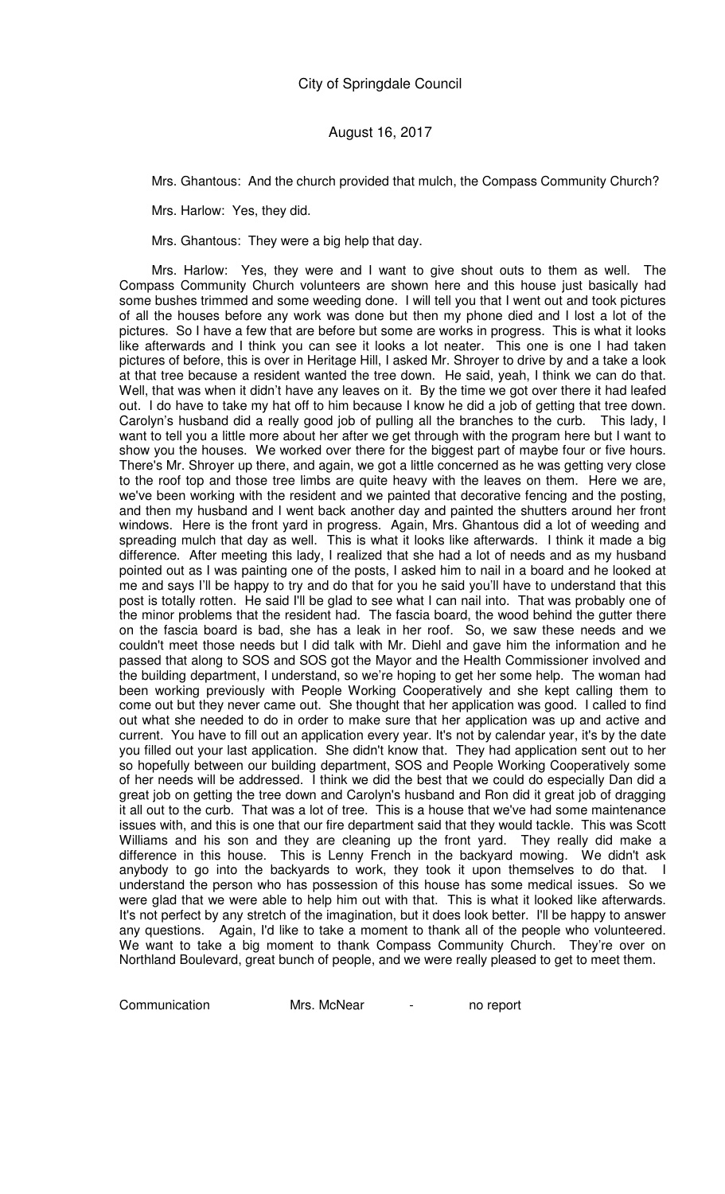Mrs. Ghantous: And the church provided that mulch, the Compass Community Church?

Mrs. Harlow: Yes, they did.

Mrs. Ghantous: They were a big help that day.

Mrs. Harlow: Yes, they were and I want to give shout outs to them as well. The Compass Community Church volunteers are shown here and this house just basically had some bushes trimmed and some weeding done. I will tell you that I went out and took pictures of all the houses before any work was done but then my phone died and I lost a lot of the pictures. So I have a few that are before but some are works in progress. This is what it looks like afterwards and I think you can see it looks a lot neater. This one is one I had taken pictures of before, this is over in Heritage Hill, I asked Mr. Shroyer to drive by and a take a look at that tree because a resident wanted the tree down. He said, yeah, I think we can do that. Well, that was when it didn't have any leaves on it. By the time we got over there it had leafed out. I do have to take my hat off to him because I know he did a job of getting that tree down. Carolyn's husband did a really good job of pulling all the branches to the curb. This lady, I want to tell you a little more about her after we get through with the program here but I want to show you the houses. We worked over there for the biggest part of maybe four or five hours. There's Mr. Shroyer up there, and again, we got a little concerned as he was getting very close to the roof top and those tree limbs are quite heavy with the leaves on them. Here we are, we've been working with the resident and we painted that decorative fencing and the posting, and then my husband and I went back another day and painted the shutters around her front windows. Here is the front yard in progress. Again, Mrs. Ghantous did a lot of weeding and spreading mulch that day as well. This is what it looks like afterwards. I think it made a big difference. After meeting this lady, I realized that she had a lot of needs and as my husband pointed out as I was painting one of the posts, I asked him to nail in a board and he looked at me and says I'll be happy to try and do that for you he said you'll have to understand that this post is totally rotten. He said I'll be glad to see what I can nail into. That was probably one of the minor problems that the resident had. The fascia board, the wood behind the gutter there on the fascia board is bad, she has a leak in her roof. So, we saw these needs and we couldn't meet those needs but I did talk with Mr. Diehl and gave him the information and he passed that along to SOS and SOS got the Mayor and the Health Commissioner involved and the building department, I understand, so we're hoping to get her some help. The woman had been working previously with People Working Cooperatively and she kept calling them to come out but they never came out. She thought that her application was good. I called to find out what she needed to do in order to make sure that her application was up and active and current. You have to fill out an application every year. It's not by calendar year, it's by the date you filled out your last application. She didn't know that. They had application sent out to her so hopefully between our building department, SOS and People Working Cooperatively some of her needs will be addressed. I think we did the best that we could do especially Dan did a great job on getting the tree down and Carolyn's husband and Ron did it great job of dragging it all out to the curb. That was a lot of tree. This is a house that we've had some maintenance issues with, and this is one that our fire department said that they would tackle. This was Scott Williams and his son and they are cleaning up the front yard. They really did make a difference in this house. This is Lenny French in the backyard mowing. We didn't ask anybody to go into the backyards to work, they took it upon themselves to do that. I understand the person who has possession of this house has some medical issues. So we were glad that we were able to help him out with that. This is what it looked like afterwards. It's not perfect by any stretch of the imagination, but it does look better. I'll be happy to answer any questions. Again, I'd like to take a moment to thank all of the people who volunteered. We want to take a big moment to thank Compass Community Church. They're over on Northland Boulevard, great bunch of people, and we were really pleased to get to meet them.

Communication Mrs. McNear - no report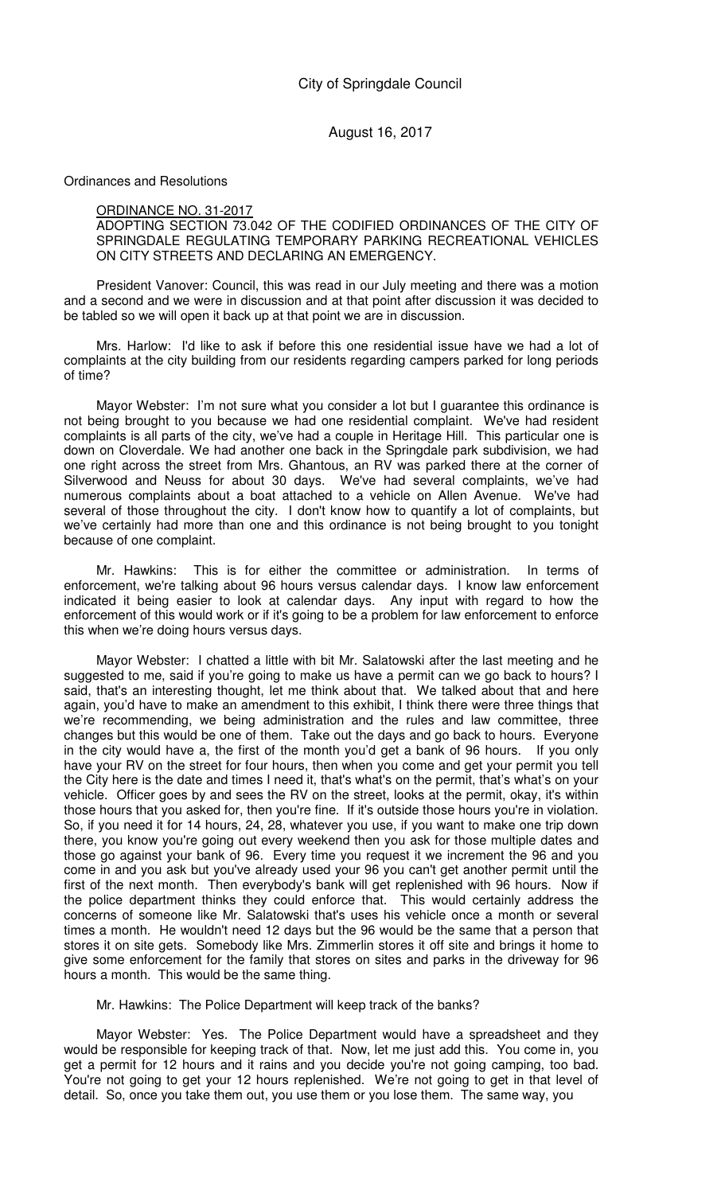Ordinances and Resolutions

#### ORDINANCE NO. 31-2017

ADOPTING SECTION 73.042 OF THE CODIFIED ORDINANCES OF THE CITY OF SPRINGDALE REGULATING TEMPORARY PARKING RECREATIONAL VEHICLES ON CITY STREETS AND DECLARING AN EMERGENCY.

President Vanover: Council, this was read in our July meeting and there was a motion and a second and we were in discussion and at that point after discussion it was decided to be tabled so we will open it back up at that point we are in discussion.

Mrs. Harlow: I'd like to ask if before this one residential issue have we had a lot of complaints at the city building from our residents regarding campers parked for long periods of time?

Mayor Webster: I'm not sure what you consider a lot but I guarantee this ordinance is not being brought to you because we had one residential complaint. We've had resident complaints is all parts of the city, we've had a couple in Heritage Hill. This particular one is down on Cloverdale. We had another one back in the Springdale park subdivision, we had one right across the street from Mrs. Ghantous, an RV was parked there at the corner of Silverwood and Neuss for about 30 days. We've had several complaints, we've had numerous complaints about a boat attached to a vehicle on Allen Avenue. We've had several of those throughout the city. I don't know how to quantify a lot of complaints, but we've certainly had more than one and this ordinance is not being brought to you tonight because of one complaint.

Mr. Hawkins: This is for either the committee or administration. In terms of enforcement, we're talking about 96 hours versus calendar days. I know law enforcement indicated it being easier to look at calendar days. Any input with regard to how the enforcement of this would work or if it's going to be a problem for law enforcement to enforce this when we're doing hours versus days.

Mayor Webster: I chatted a little with bit Mr. Salatowski after the last meeting and he suggested to me, said if you're going to make us have a permit can we go back to hours? I said, that's an interesting thought, let me think about that. We talked about that and here again, you'd have to make an amendment to this exhibit, I think there were three things that we're recommending, we being administration and the rules and law committee, three changes but this would be one of them. Take out the days and go back to hours. Everyone in the city would have a, the first of the month you'd get a bank of 96 hours. If you only have your RV on the street for four hours, then when you come and get your permit you tell the City here is the date and times I need it, that's what's on the permit, that's what's on your vehicle. Officer goes by and sees the RV on the street, looks at the permit, okay, it's within those hours that you asked for, then you're fine. If it's outside those hours you're in violation. So, if you need it for 14 hours, 24, 28, whatever you use, if you want to make one trip down there, you know you're going out every weekend then you ask for those multiple dates and those go against your bank of 96. Every time you request it we increment the 96 and you come in and you ask but you've already used your 96 you can't get another permit until the first of the next month. Then everybody's bank will get replenished with 96 hours. Now if the police department thinks they could enforce that. This would certainly address the concerns of someone like Mr. Salatowski that's uses his vehicle once a month or several times a month. He wouldn't need 12 days but the 96 would be the same that a person that stores it on site gets. Somebody like Mrs. Zimmerlin stores it off site and brings it home to give some enforcement for the family that stores on sites and parks in the driveway for 96 hours a month. This would be the same thing.

Mr. Hawkins: The Police Department will keep track of the banks?

Mayor Webster: Yes. The Police Department would have a spreadsheet and they would be responsible for keeping track of that. Now, let me just add this. You come in, you get a permit for 12 hours and it rains and you decide you're not going camping, too bad. You're not going to get your 12 hours replenished. We're not going to get in that level of detail. So, once you take them out, you use them or you lose them. The same way, you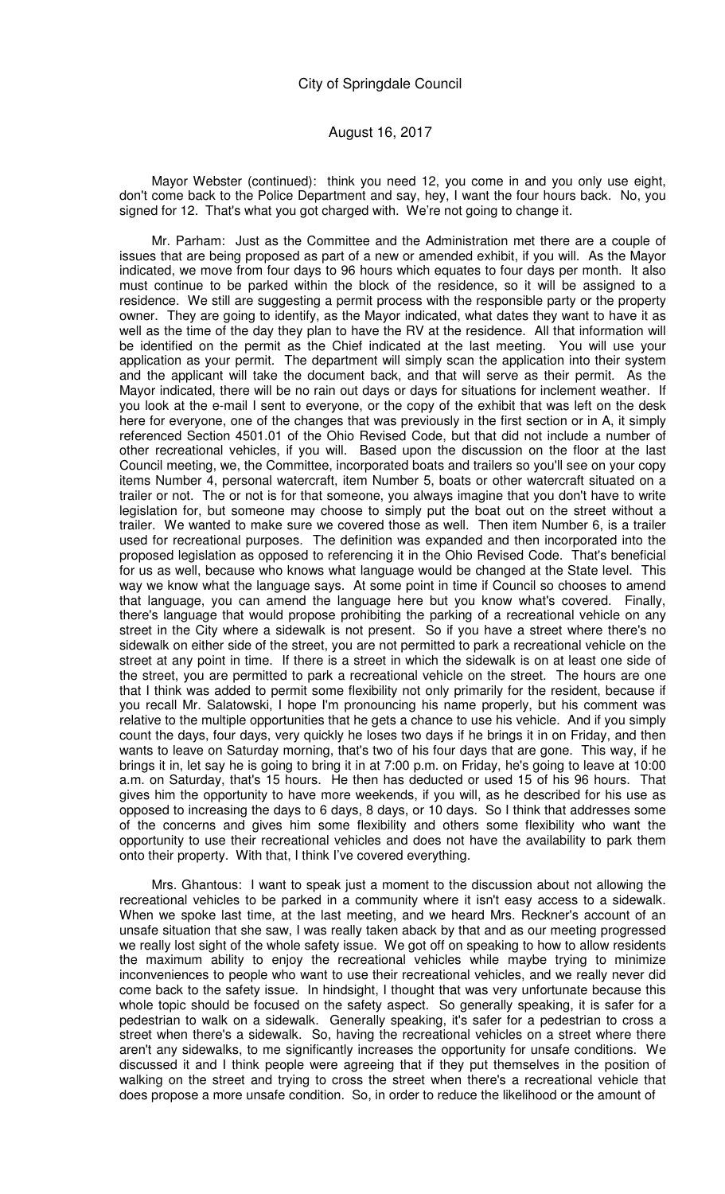Mayor Webster (continued): think you need 12, you come in and you only use eight, don't come back to the Police Department and say, hey, I want the four hours back. No, you signed for 12. That's what you got charged with. We're not going to change it.

Mr. Parham: Just as the Committee and the Administration met there are a couple of issues that are being proposed as part of a new or amended exhibit, if you will. As the Mayor indicated, we move from four days to 96 hours which equates to four days per month. It also must continue to be parked within the block of the residence, so it will be assigned to a residence. We still are suggesting a permit process with the responsible party or the property owner. They are going to identify, as the Mayor indicated, what dates they want to have it as well as the time of the day they plan to have the RV at the residence. All that information will be identified on the permit as the Chief indicated at the last meeting. You will use your application as your permit. The department will simply scan the application into their system and the applicant will take the document back, and that will serve as their permit. As the Mayor indicated, there will be no rain out days or days for situations for inclement weather. If you look at the e-mail I sent to everyone, or the copy of the exhibit that was left on the desk here for everyone, one of the changes that was previously in the first section or in A, it simply referenced Section 4501.01 of the Ohio Revised Code, but that did not include a number of other recreational vehicles, if you will. Based upon the discussion on the floor at the last Council meeting, we, the Committee, incorporated boats and trailers so you'll see on your copy items Number 4, personal watercraft, item Number 5, boats or other watercraft situated on a trailer or not. The or not is for that someone, you always imagine that you don't have to write legislation for, but someone may choose to simply put the boat out on the street without a trailer. We wanted to make sure we covered those as well. Then item Number 6, is a trailer used for recreational purposes. The definition was expanded and then incorporated into the proposed legislation as opposed to referencing it in the Ohio Revised Code. That's beneficial for us as well, because who knows what language would be changed at the State level. This way we know what the language says. At some point in time if Council so chooses to amend that language, you can amend the language here but you know what's covered. Finally, there's language that would propose prohibiting the parking of a recreational vehicle on any street in the City where a sidewalk is not present. So if you have a street where there's no sidewalk on either side of the street, you are not permitted to park a recreational vehicle on the street at any point in time. If there is a street in which the sidewalk is on at least one side of the street, you are permitted to park a recreational vehicle on the street. The hours are one that I think was added to permit some flexibility not only primarily for the resident, because if you recall Mr. Salatowski, I hope I'm pronouncing his name properly, but his comment was relative to the multiple opportunities that he gets a chance to use his vehicle. And if you simply count the days, four days, very quickly he loses two days if he brings it in on Friday, and then wants to leave on Saturday morning, that's two of his four days that are gone. This way, if he brings it in, let say he is going to bring it in at 7:00 p.m. on Friday, he's going to leave at 10:00 a.m. on Saturday, that's 15 hours. He then has deducted or used 15 of his 96 hours. That gives him the opportunity to have more weekends, if you will, as he described for his use as opposed to increasing the days to 6 days, 8 days, or 10 days. So I think that addresses some of the concerns and gives him some flexibility and others some flexibility who want the opportunity to use their recreational vehicles and does not have the availability to park them onto their property. With that, I think I've covered everything.

Mrs. Ghantous: I want to speak just a moment to the discussion about not allowing the recreational vehicles to be parked in a community where it isn't easy access to a sidewalk. When we spoke last time, at the last meeting, and we heard Mrs. Reckner's account of an unsafe situation that she saw, I was really taken aback by that and as our meeting progressed we really lost sight of the whole safety issue. We got off on speaking to how to allow residents the maximum ability to enjoy the recreational vehicles while maybe trying to minimize inconveniences to people who want to use their recreational vehicles, and we really never did come back to the safety issue. In hindsight, I thought that was very unfortunate because this whole topic should be focused on the safety aspect. So generally speaking, it is safer for a pedestrian to walk on a sidewalk. Generally speaking, it's safer for a pedestrian to cross a street when there's a sidewalk. So, having the recreational vehicles on a street where there aren't any sidewalks, to me significantly increases the opportunity for unsafe conditions. We discussed it and I think people were agreeing that if they put themselves in the position of walking on the street and trying to cross the street when there's a recreational vehicle that does propose a more unsafe condition. So, in order to reduce the likelihood or the amount of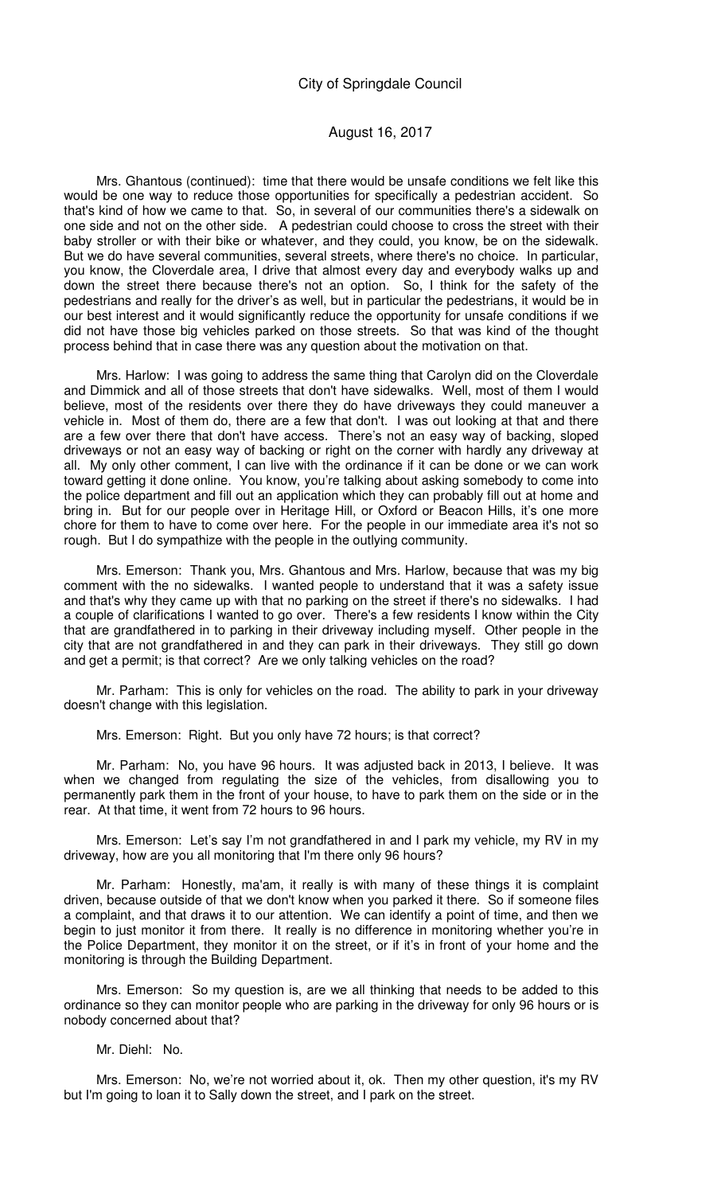### August 16, 2017

Mrs. Ghantous (continued): time that there would be unsafe conditions we felt like this would be one way to reduce those opportunities for specifically a pedestrian accident. So that's kind of how we came to that. So, in several of our communities there's a sidewalk on one side and not on the other side. A pedestrian could choose to cross the street with their baby stroller or with their bike or whatever, and they could, you know, be on the sidewalk. But we do have several communities, several streets, where there's no choice. In particular, you know, the Cloverdale area, I drive that almost every day and everybody walks up and down the street there because there's not an option. So, I think for the safety of the pedestrians and really for the driver's as well, but in particular the pedestrians, it would be in our best interest and it would significantly reduce the opportunity for unsafe conditions if we did not have those big vehicles parked on those streets. So that was kind of the thought process behind that in case there was any question about the motivation on that.

Mrs. Harlow: I was going to address the same thing that Carolyn did on the Cloverdale and Dimmick and all of those streets that don't have sidewalks. Well, most of them I would believe, most of the residents over there they do have driveways they could maneuver a vehicle in. Most of them do, there are a few that don't. I was out looking at that and there are a few over there that don't have access. There's not an easy way of backing, sloped driveways or not an easy way of backing or right on the corner with hardly any driveway at all. My only other comment, I can live with the ordinance if it can be done or we can work toward getting it done online. You know, you're talking about asking somebody to come into the police department and fill out an application which they can probably fill out at home and bring in. But for our people over in Heritage Hill, or Oxford or Beacon Hills, it's one more chore for them to have to come over here. For the people in our immediate area it's not so rough. But I do sympathize with the people in the outlying community.

Mrs. Emerson: Thank you, Mrs. Ghantous and Mrs. Harlow, because that was my big comment with the no sidewalks. I wanted people to understand that it was a safety issue and that's why they came up with that no parking on the street if there's no sidewalks. I had a couple of clarifications I wanted to go over. There's a few residents I know within the City that are grandfathered in to parking in their driveway including myself. Other people in the city that are not grandfathered in and they can park in their driveways. They still go down and get a permit; is that correct? Are we only talking vehicles on the road?

Mr. Parham: This is only for vehicles on the road. The ability to park in your driveway doesn't change with this legislation.

Mrs. Emerson: Right. But you only have 72 hours; is that correct?

Mr. Parham: No, you have 96 hours. It was adjusted back in 2013, I believe. It was when we changed from regulating the size of the vehicles, from disallowing you to permanently park them in the front of your house, to have to park them on the side or in the rear. At that time, it went from 72 hours to 96 hours.

Mrs. Emerson: Let's say I'm not grandfathered in and I park my vehicle, my RV in my driveway, how are you all monitoring that I'm there only 96 hours?

Mr. Parham: Honestly, ma'am, it really is with many of these things it is complaint driven, because outside of that we don't know when you parked it there. So if someone files a complaint, and that draws it to our attention. We can identify a point of time, and then we begin to just monitor it from there. It really is no difference in monitoring whether you're in the Police Department, they monitor it on the street, or if it's in front of your home and the monitoring is through the Building Department.

Mrs. Emerson: So my question is, are we all thinking that needs to be added to this ordinance so they can monitor people who are parking in the driveway for only 96 hours or is nobody concerned about that?

### Mr. Diehl: No.

Mrs. Emerson: No, we're not worried about it, ok. Then my other question, it's my RV but I'm going to loan it to Sally down the street, and I park on the street.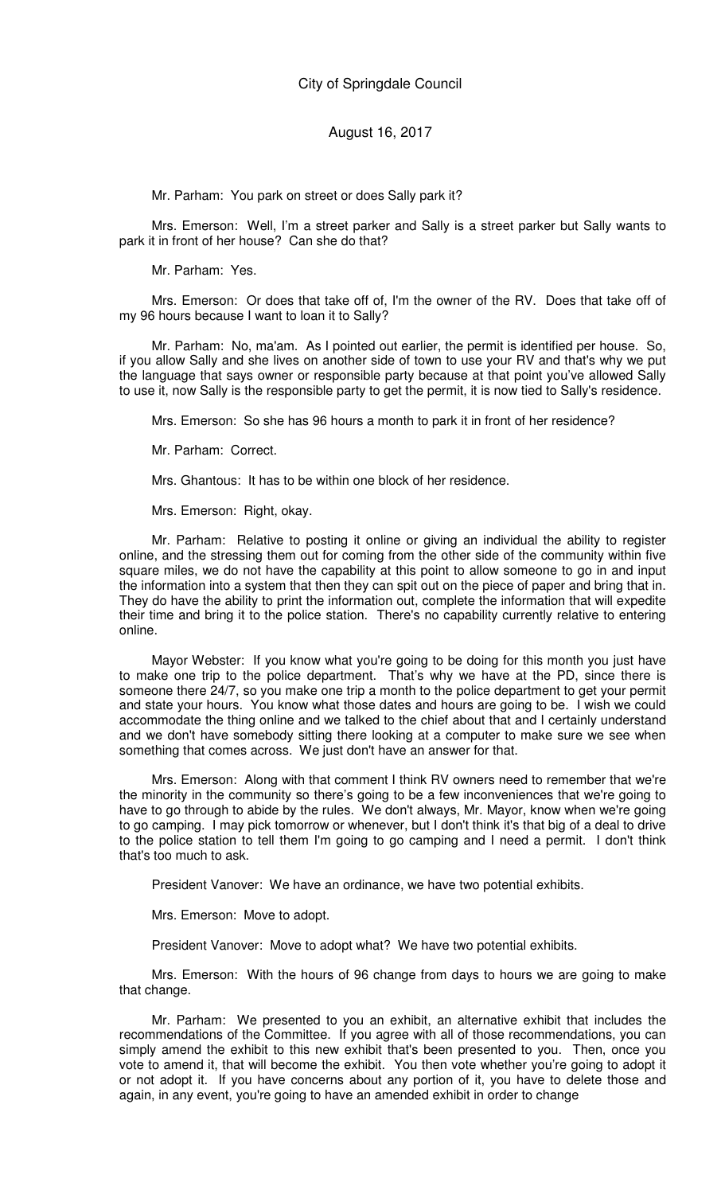Mr. Parham: You park on street or does Sally park it?

Mrs. Emerson: Well, I'm a street parker and Sally is a street parker but Sally wants to park it in front of her house? Can she do that?

Mr. Parham: Yes.

Mrs. Emerson: Or does that take off of, I'm the owner of the RV. Does that take off of my 96 hours because I want to loan it to Sally?

Mr. Parham: No, ma'am. As I pointed out earlier, the permit is identified per house. So, if you allow Sally and she lives on another side of town to use your RV and that's why we put the language that says owner or responsible party because at that point you've allowed Sally to use it, now Sally is the responsible party to get the permit, it is now tied to Sally's residence.

Mrs. Emerson: So she has 96 hours a month to park it in front of her residence?

Mr. Parham: Correct.

Mrs. Ghantous: It has to be within one block of her residence.

Mrs. Emerson: Right, okay.

Mr. Parham: Relative to posting it online or giving an individual the ability to register online, and the stressing them out for coming from the other side of the community within five square miles, we do not have the capability at this point to allow someone to go in and input the information into a system that then they can spit out on the piece of paper and bring that in. They do have the ability to print the information out, complete the information that will expedite their time and bring it to the police station. There's no capability currently relative to entering online.

Mayor Webster: If you know what you're going to be doing for this month you just have to make one trip to the police department. That's why we have at the PD, since there is someone there 24/7, so you make one trip a month to the police department to get your permit and state your hours. You know what those dates and hours are going to be. I wish we could accommodate the thing online and we talked to the chief about that and I certainly understand and we don't have somebody sitting there looking at a computer to make sure we see when something that comes across. We just don't have an answer for that.

Mrs. Emerson: Along with that comment I think RV owners need to remember that we're the minority in the community so there's going to be a few inconveniences that we're going to have to go through to abide by the rules. We don't always, Mr. Mayor, know when we're going to go camping. I may pick tomorrow or whenever, but I don't think it's that big of a deal to drive to the police station to tell them I'm going to go camping and I need a permit. I don't think that's too much to ask.

President Vanover: We have an ordinance, we have two potential exhibits.

Mrs. Emerson: Move to adopt.

President Vanover: Move to adopt what? We have two potential exhibits.

Mrs. Emerson: With the hours of 96 change from days to hours we are going to make that change.

Mr. Parham: We presented to you an exhibit, an alternative exhibit that includes the recommendations of the Committee. If you agree with all of those recommendations, you can simply amend the exhibit to this new exhibit that's been presented to you. Then, once you vote to amend it, that will become the exhibit. You then vote whether you're going to adopt it or not adopt it. If you have concerns about any portion of it, you have to delete those and again, in any event, you're going to have an amended exhibit in order to change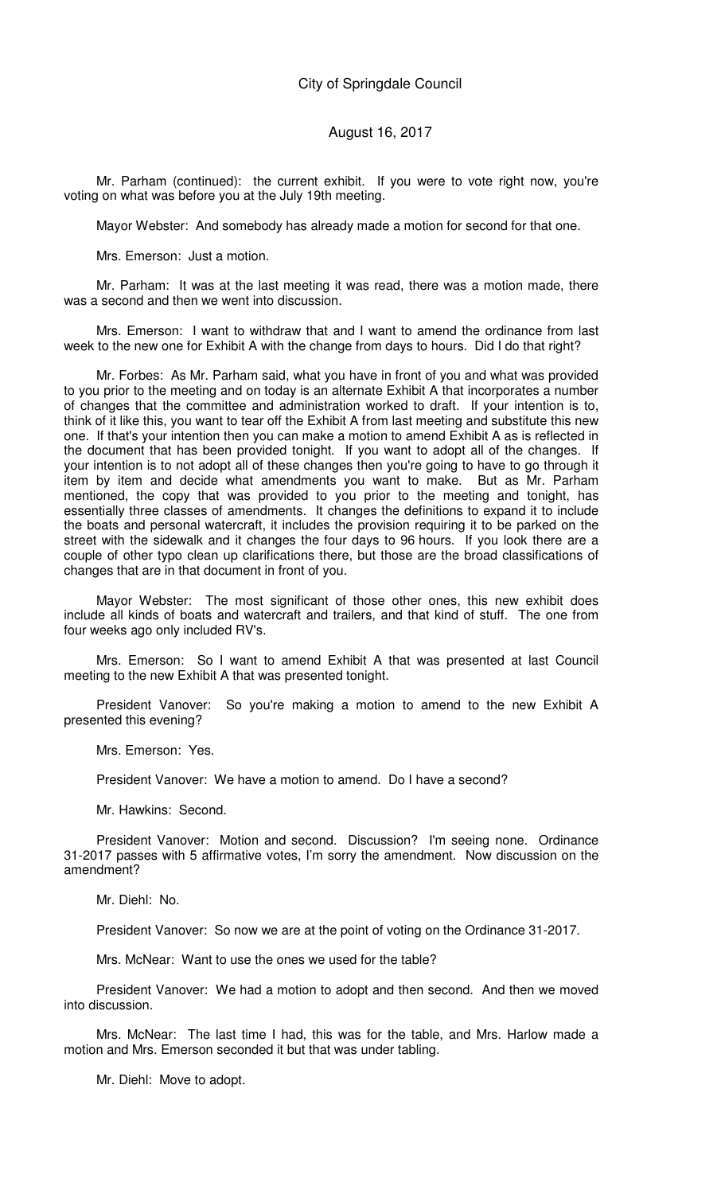Mr. Parham (continued): the current exhibit. If you were to vote right now, you're voting on what was before you at the July 19th meeting.

Mayor Webster: And somebody has already made a motion for second for that one.

Mrs. Emerson: Just a motion.

Mr. Parham: It was at the last meeting it was read, there was a motion made, there was a second and then we went into discussion.

Mrs. Emerson: I want to withdraw that and I want to amend the ordinance from last week to the new one for Exhibit A with the change from days to hours. Did I do that right?

Mr. Forbes: As Mr. Parham said, what you have in front of you and what was provided to you prior to the meeting and on today is an alternate Exhibit A that incorporates a number of changes that the committee and administration worked to draft. If your intention is to, think of it like this, you want to tear off the Exhibit A from last meeting and substitute this new one. If that's your intention then you can make a motion to amend Exhibit A as is reflected in the document that has been provided tonight. If you want to adopt all of the changes. If your intention is to not adopt all of these changes then you're going to have to go through it item by item and decide what amendments you want to make. But as Mr. Parham mentioned, the copy that was provided to you prior to the meeting and tonight, has essentially three classes of amendments. It changes the definitions to expand it to include the boats and personal watercraft, it includes the provision requiring it to be parked on the street with the sidewalk and it changes the four days to 96 hours. If you look there are a couple of other typo clean up clarifications there, but those are the broad classifications of changes that are in that document in front of you.

Mayor Webster: The most significant of those other ones, this new exhibit does include all kinds of boats and watercraft and trailers, and that kind of stuff. The one from four weeks ago only included RV's.

Mrs. Emerson: So I want to amend Exhibit A that was presented at last Council meeting to the new Exhibit A that was presented tonight.

President Vanover: So you're making a motion to amend to the new Exhibit A presented this evening?

Mrs. Emerson: Yes.

President Vanover: We have a motion to amend. Do I have a second?

Mr. Hawkins: Second.

President Vanover: Motion and second. Discussion? I'm seeing none. Ordinance 31-2017 passes with 5 affirmative votes, I'm sorry the amendment. Now discussion on the amendment?

Mr. Diehl: No.

President Vanover: So now we are at the point of voting on the Ordinance 31-2017.

Mrs. McNear: Want to use the ones we used for the table?

President Vanover: We had a motion to adopt and then second. And then we moved into discussion.

Mrs. McNear: The last time I had, this was for the table, and Mrs. Harlow made a motion and Mrs. Emerson seconded it but that was under tabling.

Mr. Diehl: Move to adopt.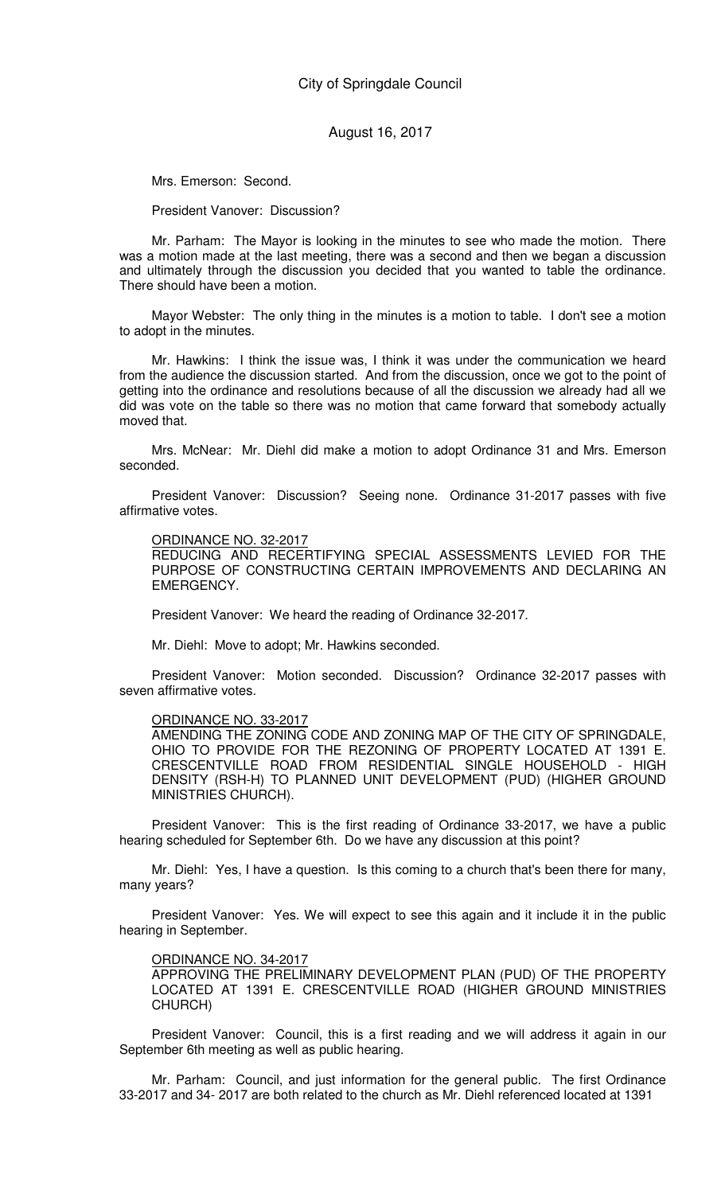Mrs. Emerson: Second.

President Vanover: Discussion?

Mr. Parham: The Mayor is looking in the minutes to see who made the motion. There was a motion made at the last meeting, there was a second and then we began a discussion and ultimately through the discussion you decided that you wanted to table the ordinance. There should have been a motion.

Mayor Webster: The only thing in the minutes is a motion to table. I don't see a motion to adopt in the minutes.

Mr. Hawkins: I think the issue was, I think it was under the communication we heard from the audience the discussion started. And from the discussion, once we got to the point of getting into the ordinance and resolutions because of all the discussion we already had all we did was vote on the table so there was no motion that came forward that somebody actually moved that.

Mrs. McNear: Mr. Diehl did make a motion to adopt Ordinance 31 and Mrs. Emerson seconded.

President Vanover: Discussion? Seeing none. Ordinance 31-2017 passes with five affirmative votes.

#### ORDINANCE NO. 32-2017

REDUCING AND RECERTIFYING SPECIAL ASSESSMENTS LEVIED FOR THE PURPOSE OF CONSTRUCTING CERTAIN IMPROVEMENTS AND DECLARING AN EMERGENCY.

President Vanover: We heard the reading of Ordinance 32-2017.

Mr. Diehl: Move to adopt; Mr. Hawkins seconded.

President Vanover: Motion seconded. Discussion? Ordinance 32-2017 passes with seven affirmative votes.

#### ORDINANCE NO. 33-2017

AMENDING THE ZONING CODE AND ZONING MAP OF THE CITY OF SPRINGDALE, OHIO TO PROVIDE FOR THE REZONING OF PROPERTY LOCATED AT 1391 E. CRESCENTVILLE ROAD FROM RESIDENTIAL SINGLE HOUSEHOLD - HIGH DENSITY (RSH-H) TO PLANNED UNIT DEVELOPMENT (PUD) (HIGHER GROUND MINISTRIES CHURCH).

President Vanover: This is the first reading of Ordinance 33-2017, we have a public hearing scheduled for September 6th. Do we have any discussion at this point?

Mr. Diehl: Yes, I have a question. Is this coming to a church that's been there for many, many years?

President Vanover: Yes. We will expect to see this again and it include it in the public hearing in September.

#### ORDINANCE NO. 34-2017

APPROVING THE PRELIMINARY DEVELOPMENT PLAN (PUD) OF THE PROPERTY LOCATED AT 1391 E. CRESCENTVILLE ROAD (HIGHER GROUND MINISTRIES CHURCH)

President Vanover: Council, this is a first reading and we will address it again in our September 6th meeting as well as public hearing.

Mr. Parham: Council, and just information for the general public. The first Ordinance 33-2017 and 34- 2017 are both related to the church as Mr. Diehl referenced located at 1391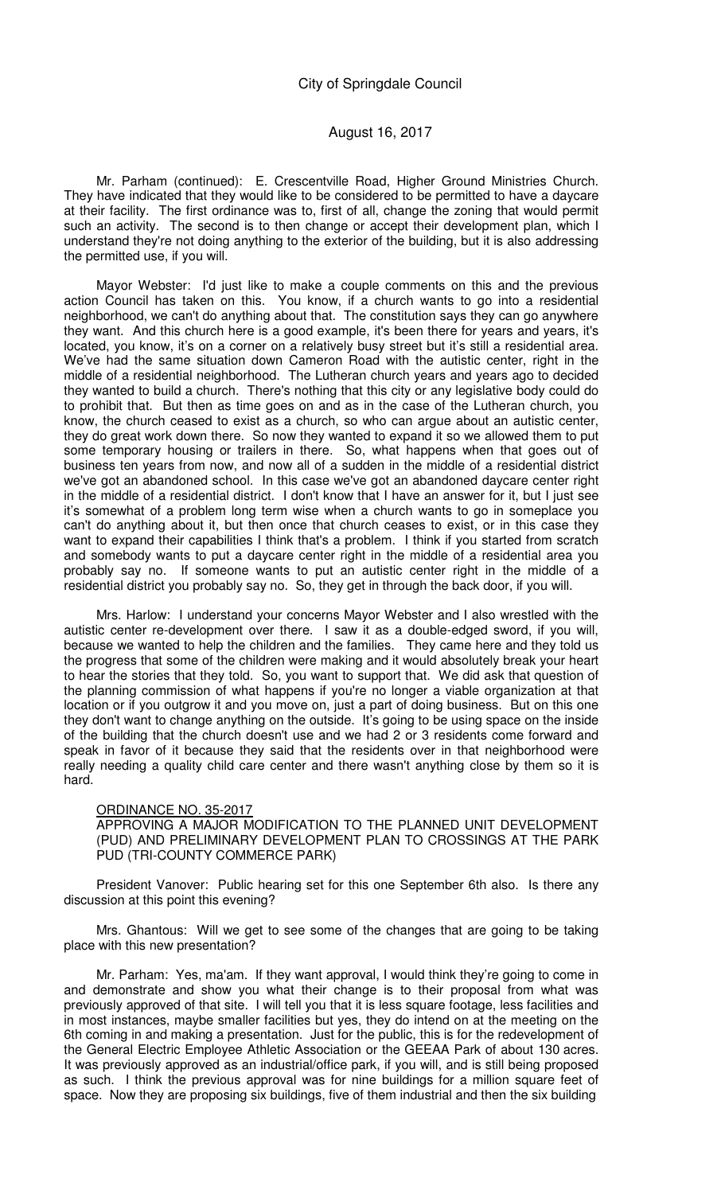Mr. Parham (continued): E. Crescentville Road, Higher Ground Ministries Church. They have indicated that they would like to be considered to be permitted to have a daycare at their facility. The first ordinance was to, first of all, change the zoning that would permit such an activity. The second is to then change or accept their development plan, which I understand they're not doing anything to the exterior of the building, but it is also addressing the permitted use, if you will.

Mayor Webster: I'd just like to make a couple comments on this and the previous action Council has taken on this. You know, if a church wants to go into a residential neighborhood, we can't do anything about that. The constitution says they can go anywhere they want. And this church here is a good example, it's been there for years and years, it's located, you know, it's on a corner on a relatively busy street but it's still a residential area. We've had the same situation down Cameron Road with the autistic center, right in the middle of a residential neighborhood. The Lutheran church years and years ago to decided they wanted to build a church. There's nothing that this city or any legislative body could do to prohibit that. But then as time goes on and as in the case of the Lutheran church, you know, the church ceased to exist as a church, so who can argue about an autistic center, they do great work down there. So now they wanted to expand it so we allowed them to put some temporary housing or trailers in there. So, what happens when that goes out of business ten years from now, and now all of a sudden in the middle of a residential district we've got an abandoned school. In this case we've got an abandoned daycare center right in the middle of a residential district. I don't know that I have an answer for it, but I just see it's somewhat of a problem long term wise when a church wants to go in someplace you can't do anything about it, but then once that church ceases to exist, or in this case they want to expand their capabilities I think that's a problem. I think if you started from scratch and somebody wants to put a daycare center right in the middle of a residential area you probably say no. If someone wants to put an autistic center right in the middle of a residential district you probably say no. So, they get in through the back door, if you will.

Mrs. Harlow: I understand your concerns Mayor Webster and I also wrestled with the autistic center re-development over there. I saw it as a double-edged sword, if you will, because we wanted to help the children and the families. They came here and they told us the progress that some of the children were making and it would absolutely break your heart to hear the stories that they told. So, you want to support that. We did ask that question of the planning commission of what happens if you're no longer a viable organization at that location or if you outgrow it and you move on, just a part of doing business. But on this one they don't want to change anything on the outside. It's going to be using space on the inside of the building that the church doesn't use and we had 2 or 3 residents come forward and speak in favor of it because they said that the residents over in that neighborhood were really needing a quality child care center and there wasn't anything close by them so it is hard.

#### ORDINANCE NO. 35-2017

APPROVING A MAJOR MODIFICATION TO THE PLANNED UNIT DEVELOPMENT (PUD) AND PRELIMINARY DEVELOPMENT PLAN TO CROSSINGS AT THE PARK PUD (TRI-COUNTY COMMERCE PARK)

President Vanover: Public hearing set for this one September 6th also. Is there any discussion at this point this evening?

Mrs. Ghantous: Will we get to see some of the changes that are going to be taking place with this new presentation?

Mr. Parham: Yes, ma'am. If they want approval, I would think they're going to come in and demonstrate and show you what their change is to their proposal from what was previously approved of that site. I will tell you that it is less square footage, less facilities and in most instances, maybe smaller facilities but yes, they do intend on at the meeting on the 6th coming in and making a presentation. Just for the public, this is for the redevelopment of the General Electric Employee Athletic Association or the GEEAA Park of about 130 acres. It was previously approved as an industrial/office park, if you will, and is still being proposed as such. I think the previous approval was for nine buildings for a million square feet of space. Now they are proposing six buildings, five of them industrial and then the six building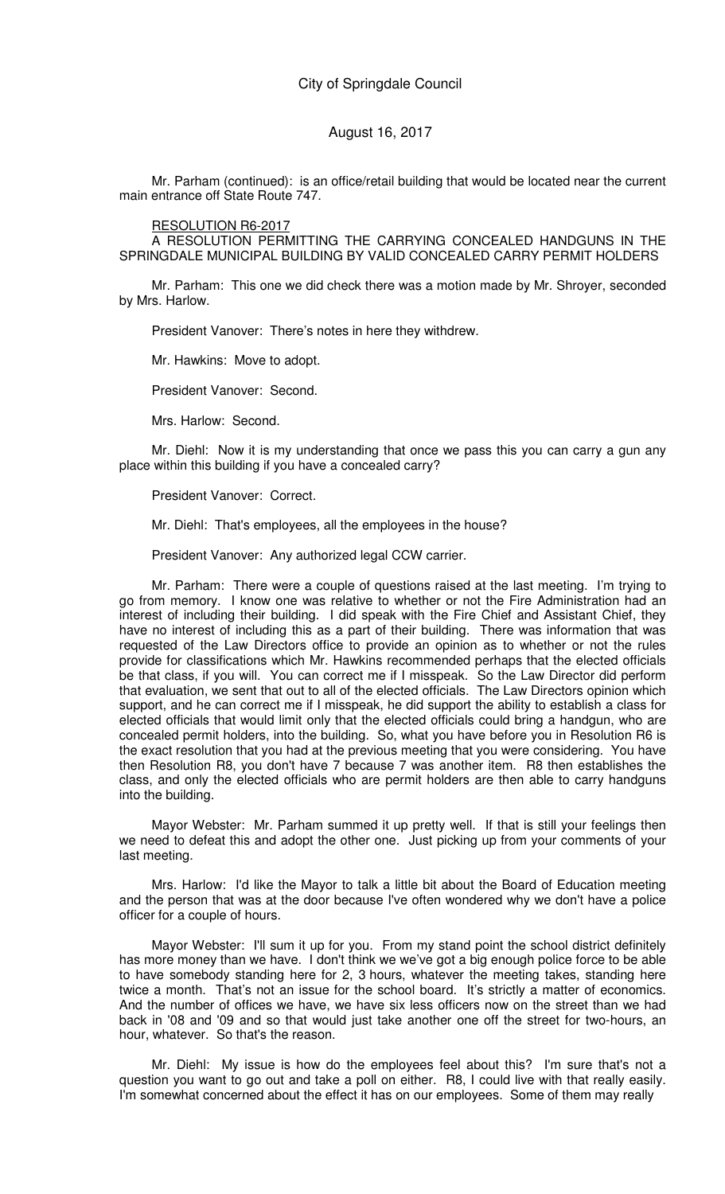Mr. Parham (continued): is an office/retail building that would be located near the current main entrance off State Route 747.

#### RESOLUTION R6-2017

A RESOLUTION PERMITTING THE CARRYING CONCEALED HANDGUNS IN THE SPRINGDALE MUNICIPAL BUILDING BY VALID CONCEALED CARRY PERMIT HOLDERS

Mr. Parham: This one we did check there was a motion made by Mr. Shroyer, seconded by Mrs. Harlow.

President Vanover: There's notes in here they withdrew.

Mr. Hawkins: Move to adopt.

President Vanover: Second.

Mrs. Harlow: Second.

Mr. Diehl: Now it is my understanding that once we pass this you can carry a gun any place within this building if you have a concealed carry?

President Vanover: Correct.

Mr. Diehl: That's employees, all the employees in the house?

President Vanover: Any authorized legal CCW carrier.

Mr. Parham: There were a couple of questions raised at the last meeting. I'm trying to go from memory. I know one was relative to whether or not the Fire Administration had an interest of including their building. I did speak with the Fire Chief and Assistant Chief, they have no interest of including this as a part of their building. There was information that was requested of the Law Directors office to provide an opinion as to whether or not the rules provide for classifications which Mr. Hawkins recommended perhaps that the elected officials be that class, if you will. You can correct me if I misspeak. So the Law Director did perform that evaluation, we sent that out to all of the elected officials. The Law Directors opinion which support, and he can correct me if I misspeak, he did support the ability to establish a class for elected officials that would limit only that the elected officials could bring a handgun, who are concealed permit holders, into the building. So, what you have before you in Resolution R6 is the exact resolution that you had at the previous meeting that you were considering. You have then Resolution R8, you don't have 7 because 7 was another item. R8 then establishes the class, and only the elected officials who are permit holders are then able to carry handguns into the building.

Mayor Webster: Mr. Parham summed it up pretty well. If that is still your feelings then we need to defeat this and adopt the other one. Just picking up from your comments of your last meeting.

Mrs. Harlow: I'd like the Mayor to talk a little bit about the Board of Education meeting and the person that was at the door because I've often wondered why we don't have a police officer for a couple of hours.

Mayor Webster: I'll sum it up for you. From my stand point the school district definitely has more money than we have. I don't think we we've got a big enough police force to be able to have somebody standing here for 2, 3 hours, whatever the meeting takes, standing here twice a month. That's not an issue for the school board. It's strictly a matter of economics. And the number of offices we have, we have six less officers now on the street than we had back in '08 and '09 and so that would just take another one off the street for two-hours, an hour, whatever. So that's the reason.

Mr. Diehl: My issue is how do the employees feel about this? I'm sure that's not a question you want to go out and take a poll on either. R8, I could live with that really easily. I'm somewhat concerned about the effect it has on our employees. Some of them may really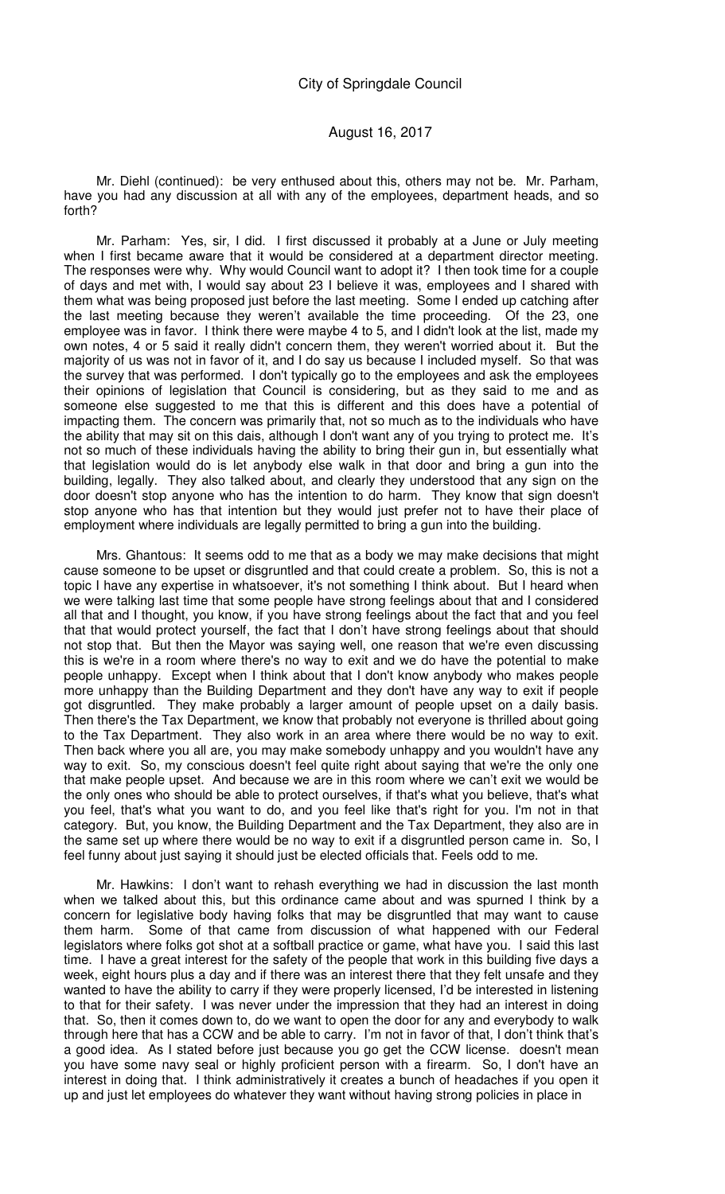## August 16, 2017

Mr. Diehl (continued): be very enthused about this, others may not be. Mr. Parham, have you had any discussion at all with any of the employees, department heads, and so forth?

Mr. Parham: Yes, sir, I did. I first discussed it probably at a June or July meeting when I first became aware that it would be considered at a department director meeting. The responses were why. Why would Council want to adopt it? I then took time for a couple of days and met with, I would say about 23 I believe it was, employees and I shared with them what was being proposed just before the last meeting. Some I ended up catching after the last meeting because they weren't available the time proceeding. Of the 23, one employee was in favor. I think there were maybe 4 to 5, and I didn't look at the list, made my own notes, 4 or 5 said it really didn't concern them, they weren't worried about it. But the majority of us was not in favor of it, and I do say us because I included myself. So that was the survey that was performed. I don't typically go to the employees and ask the employees their opinions of legislation that Council is considering, but as they said to me and as someone else suggested to me that this is different and this does have a potential of impacting them. The concern was primarily that, not so much as to the individuals who have the ability that may sit on this dais, although I don't want any of you trying to protect me. It's not so much of these individuals having the ability to bring their gun in, but essentially what that legislation would do is let anybody else walk in that door and bring a gun into the building, legally. They also talked about, and clearly they understood that any sign on the door doesn't stop anyone who has the intention to do harm. They know that sign doesn't stop anyone who has that intention but they would just prefer not to have their place of employment where individuals are legally permitted to bring a gun into the building.

Mrs. Ghantous: It seems odd to me that as a body we may make decisions that might cause someone to be upset or disgruntled and that could create a problem. So, this is not a topic I have any expertise in whatsoever, it's not something I think about. But I heard when we were talking last time that some people have strong feelings about that and I considered all that and I thought, you know, if you have strong feelings about the fact that and you feel that that would protect yourself, the fact that I don't have strong feelings about that should not stop that. But then the Mayor was saying well, one reason that we're even discussing this is we're in a room where there's no way to exit and we do have the potential to make people unhappy. Except when I think about that I don't know anybody who makes people more unhappy than the Building Department and they don't have any way to exit if people got disgruntled. They make probably a larger amount of people upset on a daily basis. Then there's the Tax Department, we know that probably not everyone is thrilled about going to the Tax Department. They also work in an area where there would be no way to exit. Then back where you all are, you may make somebody unhappy and you wouldn't have any way to exit. So, my conscious doesn't feel quite right about saying that we're the only one that make people upset. And because we are in this room where we can't exit we would be the only ones who should be able to protect ourselves, if that's what you believe, that's what you feel, that's what you want to do, and you feel like that's right for you. I'm not in that category. But, you know, the Building Department and the Tax Department, they also are in the same set up where there would be no way to exit if a disgruntled person came in. So, I feel funny about just saying it should just be elected officials that. Feels odd to me.

Mr. Hawkins: I don't want to rehash everything we had in discussion the last month when we talked about this, but this ordinance came about and was spurned I think by a concern for legislative body having folks that may be disgruntled that may want to cause them harm. Some of that came from discussion of what happened with our Federal legislators where folks got shot at a softball practice or game, what have you. I said this last time. I have a great interest for the safety of the people that work in this building five days a week, eight hours plus a day and if there was an interest there that they felt unsafe and they wanted to have the ability to carry if they were properly licensed, I'd be interested in listening to that for their safety. I was never under the impression that they had an interest in doing that. So, then it comes down to, do we want to open the door for any and everybody to walk through here that has a CCW and be able to carry. I'm not in favor of that, I don't think that's a good idea. As I stated before just because you go get the CCW license. doesn't mean you have some navy seal or highly proficient person with a firearm. So, I don't have an interest in doing that. I think administratively it creates a bunch of headaches if you open it up and just let employees do whatever they want without having strong policies in place in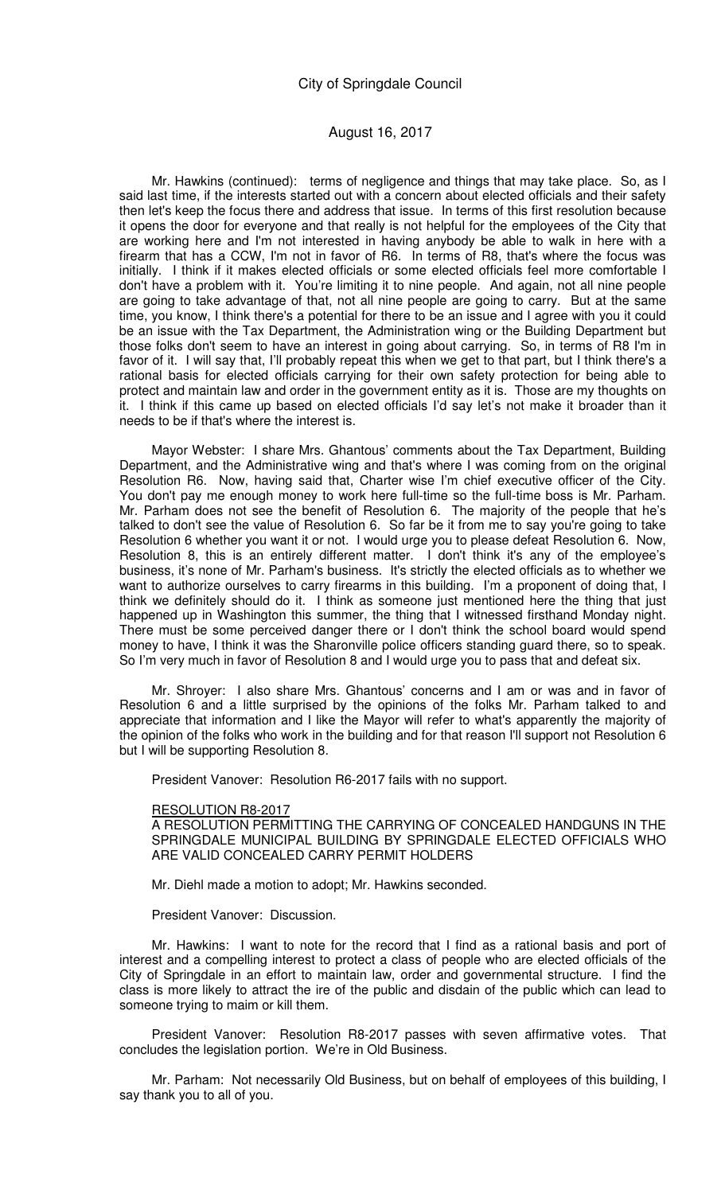Mr. Hawkins (continued): terms of negligence and things that may take place. So, as I said last time, if the interests started out with a concern about elected officials and their safety then let's keep the focus there and address that issue. In terms of this first resolution because it opens the door for everyone and that really is not helpful for the employees of the City that are working here and I'm not interested in having anybody be able to walk in here with a firearm that has a CCW, I'm not in favor of R6. In terms of R8, that's where the focus was initially. I think if it makes elected officials or some elected officials feel more comfortable I don't have a problem with it. You're limiting it to nine people. And again, not all nine people are going to take advantage of that, not all nine people are going to carry. But at the same time, you know, I think there's a potential for there to be an issue and I agree with you it could be an issue with the Tax Department, the Administration wing or the Building Department but those folks don't seem to have an interest in going about carrying. So, in terms of R8 I'm in favor of it. I will say that, I'll probably repeat this when we get to that part, but I think there's a rational basis for elected officials carrying for their own safety protection for being able to protect and maintain law and order in the government entity as it is. Those are my thoughts on it. I think if this came up based on elected officials I'd say let's not make it broader than it needs to be if that's where the interest is.

Mayor Webster: I share Mrs. Ghantous' comments about the Tax Department, Building Department, and the Administrative wing and that's where I was coming from on the original Resolution R6. Now, having said that, Charter wise I'm chief executive officer of the City. You don't pay me enough money to work here full-time so the full-time boss is Mr. Parham. Mr. Parham does not see the benefit of Resolution 6. The majority of the people that he's talked to don't see the value of Resolution 6. So far be it from me to say you're going to take Resolution 6 whether you want it or not. I would urge you to please defeat Resolution 6. Now, Resolution 8, this is an entirely different matter. I don't think it's any of the employee's business, it's none of Mr. Parham's business. It's strictly the elected officials as to whether we want to authorize ourselves to carry firearms in this building. I'm a proponent of doing that, I think we definitely should do it. I think as someone just mentioned here the thing that just happened up in Washington this summer, the thing that I witnessed firsthand Monday night. There must be some perceived danger there or I don't think the school board would spend money to have, I think it was the Sharonville police officers standing guard there, so to speak. So I'm very much in favor of Resolution 8 and I would urge you to pass that and defeat six.

Mr. Shroyer: I also share Mrs. Ghantous' concerns and I am or was and in favor of Resolution 6 and a little surprised by the opinions of the folks Mr. Parham talked to and appreciate that information and I like the Mayor will refer to what's apparently the majority of the opinion of the folks who work in the building and for that reason I'll support not Resolution 6 but I will be supporting Resolution 8.

President Vanover: Resolution R6-2017 fails with no support.

#### RESOLUTION R8-2017

A RESOLUTION PERMITTING THE CARRYING OF CONCEALED HANDGUNS IN THE SPRINGDALE MUNICIPAL BUILDING BY SPRINGDALE ELECTED OFFICIALS WHO ARE VALID CONCEALED CARRY PERMIT HOLDERS

Mr. Diehl made a motion to adopt; Mr. Hawkins seconded.

President Vanover: Discussion.

Mr. Hawkins: I want to note for the record that I find as a rational basis and port of interest and a compelling interest to protect a class of people who are elected officials of the City of Springdale in an effort to maintain law, order and governmental structure. I find the class is more likely to attract the ire of the public and disdain of the public which can lead to someone trying to maim or kill them.

President Vanover: Resolution R8-2017 passes with seven affirmative votes. That concludes the legislation portion. We're in Old Business.

Mr. Parham: Not necessarily Old Business, but on behalf of employees of this building, I say thank you to all of you.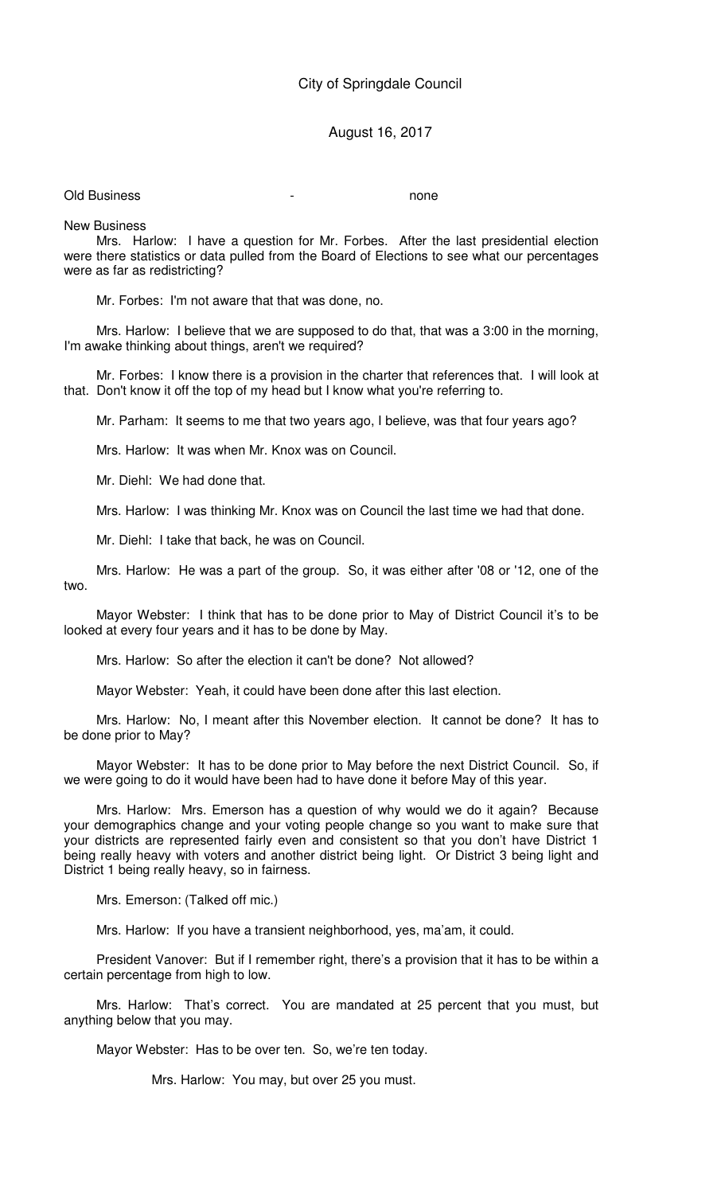## August 16, 2017

Old Business and the contract of the contract of the contract of the contract of the contract of the contract of the contract of the contract of the contract of the contract of the contract of the contract of the contract

New Business

Mrs. Harlow: I have a question for Mr. Forbes. After the last presidential election were there statistics or data pulled from the Board of Elections to see what our percentages were as far as redistricting?

Mr. Forbes: I'm not aware that that was done, no.

Mrs. Harlow: I believe that we are supposed to do that, that was a 3:00 in the morning, I'm awake thinking about things, aren't we required?

Mr. Forbes: I know there is a provision in the charter that references that. I will look at that. Don't know it off the top of my head but I know what you're referring to.

Mr. Parham: It seems to me that two years ago, I believe, was that four years ago?

Mrs. Harlow: It was when Mr. Knox was on Council.

Mr. Diehl: We had done that.

Mrs. Harlow: I was thinking Mr. Knox was on Council the last time we had that done.

Mr. Diehl: I take that back, he was on Council.

Mrs. Harlow: He was a part of the group. So, it was either after '08 or '12, one of the two.

Mayor Webster: I think that has to be done prior to May of District Council it's to be looked at every four years and it has to be done by May.

Mrs. Harlow: So after the election it can't be done? Not allowed?

Mayor Webster: Yeah, it could have been done after this last election.

Mrs. Harlow: No, I meant after this November election. It cannot be done? It has to be done prior to May?

Mayor Webster: It has to be done prior to May before the next District Council. So, if we were going to do it would have been had to have done it before May of this year.

Mrs. Harlow: Mrs. Emerson has a question of why would we do it again? Because your demographics change and your voting people change so you want to make sure that your districts are represented fairly even and consistent so that you don't have District 1 being really heavy with voters and another district being light. Or District 3 being light and District 1 being really heavy, so in fairness.

Mrs. Emerson: (Talked off mic.)

Mrs. Harlow: If you have a transient neighborhood, yes, ma'am, it could.

President Vanover: But if I remember right, there's a provision that it has to be within a certain percentage from high to low.

Mrs. Harlow: That's correct. You are mandated at 25 percent that you must, but anything below that you may.

Mayor Webster: Has to be over ten. So, we're ten today.

Mrs. Harlow: You may, but over 25 you must.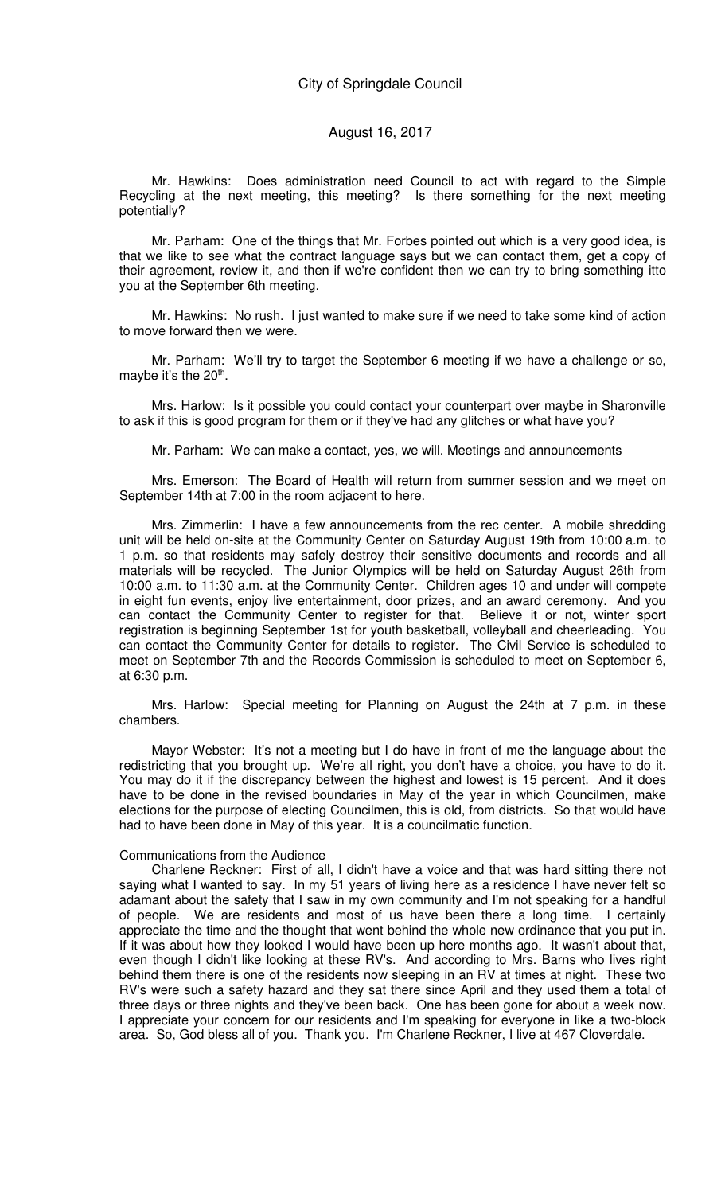Mr. Hawkins: Does administration need Council to act with regard to the Simple Recycling at the next meeting, this meeting? Is there something for the next meeting potentially?

Mr. Parham: One of the things that Mr. Forbes pointed out which is a very good idea, is that we like to see what the contract language says but we can contact them, get a copy of their agreement, review it, and then if we're confident then we can try to bring something itto you at the September 6th meeting.

Mr. Hawkins: No rush. I just wanted to make sure if we need to take some kind of action to move forward then we were.

Mr. Parham: We'll try to target the September 6 meeting if we have a challenge or so, maybe it's the 20<sup>th</sup>.

Mrs. Harlow: Is it possible you could contact your counterpart over maybe in Sharonville to ask if this is good program for them or if they've had any glitches or what have you?

Mr. Parham: We can make a contact, yes, we will. Meetings and announcements

Mrs. Emerson: The Board of Health will return from summer session and we meet on September 14th at 7:00 in the room adjacent to here.

Mrs. Zimmerlin: I have a few announcements from the rec center. A mobile shredding unit will be held on-site at the Community Center on Saturday August 19th from 10:00 a.m. to 1 p.m. so that residents may safely destroy their sensitive documents and records and all materials will be recycled. The Junior Olympics will be held on Saturday August 26th from 10:00 a.m. to 11:30 a.m. at the Community Center. Children ages 10 and under will compete in eight fun events, enjoy live entertainment, door prizes, and an award ceremony. And you can contact the Community Center to register for that. Believe it or not, winter sport registration is beginning September 1st for youth basketball, volleyball and cheerleading. You can contact the Community Center for details to register. The Civil Service is scheduled to meet on September 7th and the Records Commission is scheduled to meet on September 6, at 6:30 p.m.

Mrs. Harlow: Special meeting for Planning on August the 24th at 7 p.m. in these chambers.

Mayor Webster: It's not a meeting but I do have in front of me the language about the redistricting that you brought up. We're all right, you don't have a choice, you have to do it. You may do it if the discrepancy between the highest and lowest is 15 percent. And it does have to be done in the revised boundaries in May of the year in which Councilmen, make elections for the purpose of electing Councilmen, this is old, from districts. So that would have had to have been done in May of this year. It is a councilmatic function.

#### Communications from the Audience

Charlene Reckner: First of all, I didn't have a voice and that was hard sitting there not saying what I wanted to say. In my 51 years of living here as a residence I have never felt so adamant about the safety that I saw in my own community and I'm not speaking for a handful of people. We are residents and most of us have been there a long time. I certainly appreciate the time and the thought that went behind the whole new ordinance that you put in. If it was about how they looked I would have been up here months ago. It wasn't about that, even though I didn't like looking at these RV's. And according to Mrs. Barns who lives right behind them there is one of the residents now sleeping in an RV at times at night. These two RV's were such a safety hazard and they sat there since April and they used them a total of three days or three nights and they've been back. One has been gone for about a week now. I appreciate your concern for our residents and I'm speaking for everyone in like a two-block area. So, God bless all of you. Thank you. I'm Charlene Reckner, I live at 467 Cloverdale.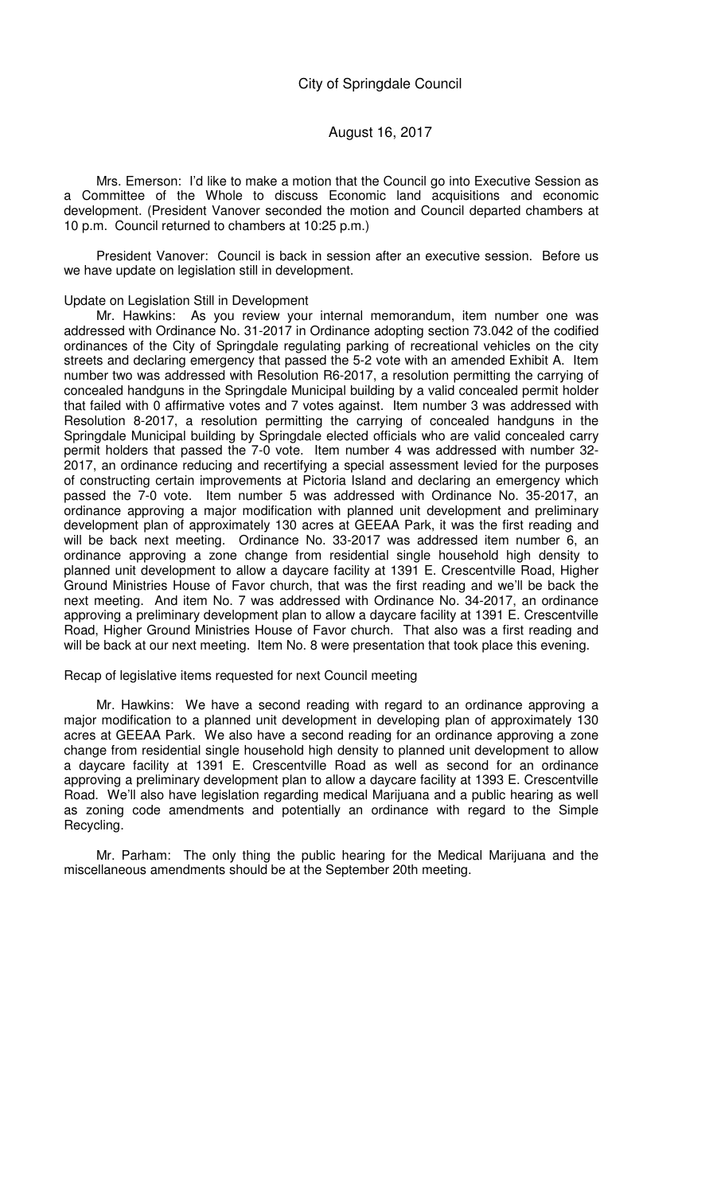Mrs. Emerson: I'd like to make a motion that the Council go into Executive Session as a Committee of the Whole to discuss Economic land acquisitions and economic development. (President Vanover seconded the motion and Council departed chambers at 10 p.m. Council returned to chambers at 10:25 p.m.)

President Vanover: Council is back in session after an executive session. Before us we have update on legislation still in development.

#### Update on Legislation Still in Development

Mr. Hawkins: As you review your internal memorandum, item number one was addressed with Ordinance No. 31-2017 in Ordinance adopting section 73.042 of the codified ordinances of the City of Springdale regulating parking of recreational vehicles on the city streets and declaring emergency that passed the 5-2 vote with an amended Exhibit A. Item number two was addressed with Resolution R6-2017, a resolution permitting the carrying of concealed handguns in the Springdale Municipal building by a valid concealed permit holder that failed with 0 affirmative votes and 7 votes against. Item number 3 was addressed with Resolution 8-2017, a resolution permitting the carrying of concealed handguns in the Springdale Municipal building by Springdale elected officials who are valid concealed carry permit holders that passed the 7-0 vote. Item number 4 was addressed with number 32- 2017, an ordinance reducing and recertifying a special assessment levied for the purposes of constructing certain improvements at Pictoria Island and declaring an emergency which passed the 7-0 vote. Item number 5 was addressed with Ordinance No. 35-2017, an ordinance approving a major modification with planned unit development and preliminary development plan of approximately 130 acres at GEEAA Park, it was the first reading and will be back next meeting. Ordinance No. 33-2017 was addressed item number 6, an ordinance approving a zone change from residential single household high density to planned unit development to allow a daycare facility at 1391 E. Crescentville Road, Higher Ground Ministries House of Favor church, that was the first reading and we'll be back the next meeting. And item No. 7 was addressed with Ordinance No. 34-2017, an ordinance approving a preliminary development plan to allow a daycare facility at 1391 E. Crescentville Road, Higher Ground Ministries House of Favor church. That also was a first reading and will be back at our next meeting. Item No. 8 were presentation that took place this evening.

#### Recap of legislative items requested for next Council meeting

Mr. Hawkins: We have a second reading with regard to an ordinance approving a major modification to a planned unit development in developing plan of approximately 130 acres at GEEAA Park. We also have a second reading for an ordinance approving a zone change from residential single household high density to planned unit development to allow a daycare facility at 1391 E. Crescentville Road as well as second for an ordinance approving a preliminary development plan to allow a daycare facility at 1393 E. Crescentville Road. We'll also have legislation regarding medical Marijuana and a public hearing as well as zoning code amendments and potentially an ordinance with regard to the Simple Recycling.

Mr. Parham: The only thing the public hearing for the Medical Marijuana and the miscellaneous amendments should be at the September 20th meeting.